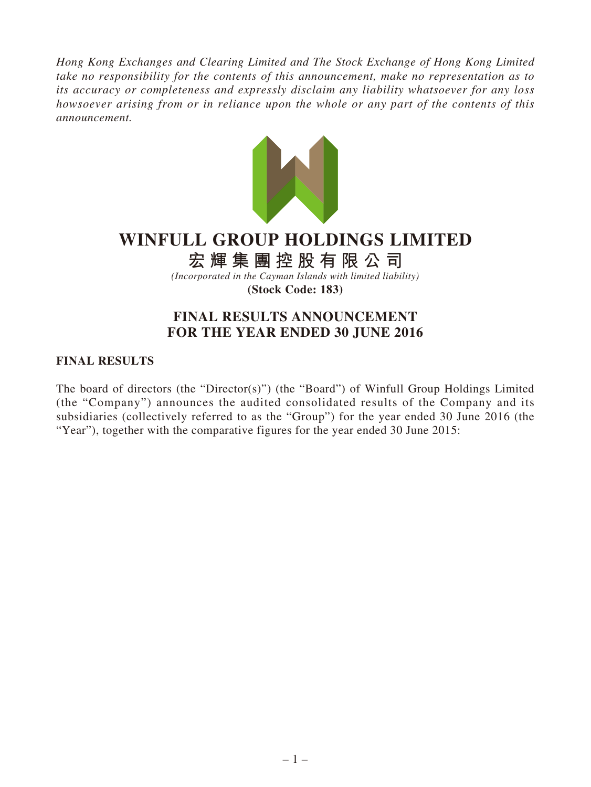*Hong Kong Exchanges and Clearing Limited and The Stock Exchange of Hong Kong Limited take no responsibility for the contents of this announcement, make no representation as to its accuracy or completeness and expressly disclaim any liability whatsoever for any loss howsoever arising from or in reliance upon the whole or any part of the contents of this announcement.*



# **WINFULL GROUP HOLDINGS LIMITED**

**宏輝集團控股有限公司**

*(Incorporated in the Cayman Islands with limited liability)* **(Stock Code: 183)**

# **FINAL RESULTS ANNOUNCEMENT FOR THE YEAR ENDED 30 JUNE 2016**

# **FINAL RESULTS**

The board of directors (the "Director(s)") (the "Board") of Winfull Group Holdings Limited (the "Company") announces the audited consolidated results of the Company and its subsidiaries (collectively referred to as the "Group") for the year ended 30 June 2016 (the "Year"), together with the comparative figures for the year ended 30 June 2015: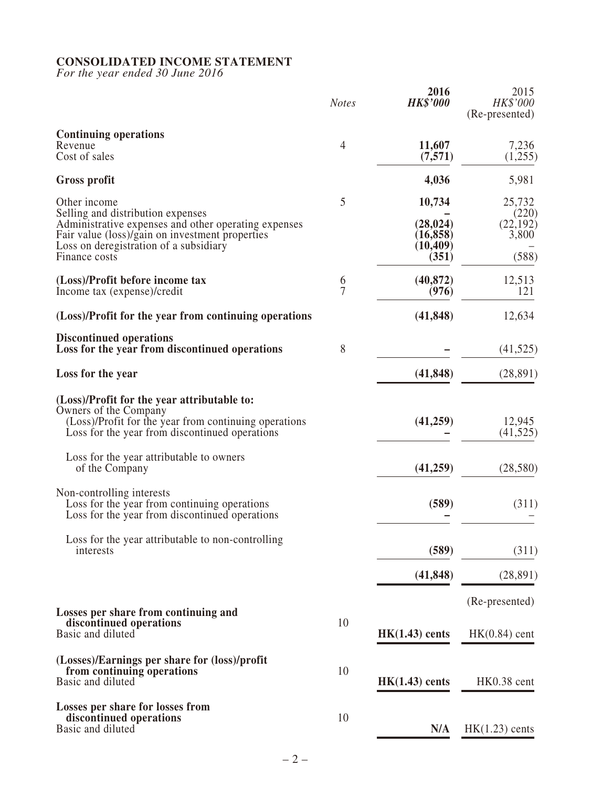## **CONSOLIDATED INCOME STATEMENT**

*For the year ended 30 June 2016*

|                                                                                                                                                                                                                         | <b>Notes</b>        | 2016<br><b>HK\$'000</b>                                | 2015<br>HK\$'000<br>(Re-presented)             |
|-------------------------------------------------------------------------------------------------------------------------------------------------------------------------------------------------------------------------|---------------------|--------------------------------------------------------|------------------------------------------------|
| <b>Continuing operations</b><br>Revenue<br>Cost of sales                                                                                                                                                                | 4                   | 11,607<br>(7,571)                                      | 7,236<br>(1,255)                               |
| Gross profit                                                                                                                                                                                                            |                     | 4,036                                                  | 5,981                                          |
| Other income<br>Selling and distribution expenses<br>Administrative expenses and other operating expenses<br>Fair value (loss)/gain on investment properties<br>Loss on deregistration of a subsidiary<br>Finance costs | 5                   | 10,734<br>(28, 024)<br>(16, 858)<br>(10, 409)<br>(351) | 25,732<br>(220)<br>(22, 192)<br>3,800<br>(588) |
| (Loss)/Profit before income tax<br>Income tax (expense)/credit                                                                                                                                                          | 6<br>$\overline{7}$ | (40, 872)<br>(976)                                     | 12,513<br>121                                  |
| (Loss)/Profit for the year from continuing operations                                                                                                                                                                   |                     | (41, 848)                                              | 12,634                                         |
| <b>Discontinued operations</b><br>Loss for the year from discontinued operations                                                                                                                                        | 8                   |                                                        | (41, 525)                                      |
| Loss for the year                                                                                                                                                                                                       |                     | (41, 848)                                              | (28, 891)                                      |
| (Loss)/Profit for the year attributable to:<br>Owners of the Company<br>(Loss)/Profit for the year from continuing operations<br>Loss for the year from discontinued operations                                         |                     | (41,259)                                               | 12,945<br>(41, 525)                            |
| Loss for the year attributable to owners<br>of the Company                                                                                                                                                              |                     | (41,259)                                               | (28,580)                                       |
| Non-controlling interests<br>Loss for the year from continuing operations<br>Loss for the year from discontinued operations                                                                                             |                     | (589)                                                  | (311)                                          |
| Loss for the year attributable to non-controlling<br>interests                                                                                                                                                          |                     | (589)                                                  | (311)                                          |
|                                                                                                                                                                                                                         |                     | (41, 848)                                              | (28, 891)                                      |
|                                                                                                                                                                                                                         |                     |                                                        | (Re-presented)                                 |
| Losses per share from continuing and<br>discontinued operations<br>Basic and diluted                                                                                                                                    | 10                  | $HK(1.43)$ cents                                       | $HK(0.84)$ cent                                |
| (Losses)/Earnings per share for (loss)/profit<br>from continuing operations<br>Basic and diluted                                                                                                                        | 10                  | $HK(1.43)$ cents                                       | HK0.38 cent                                    |
| Losses per share for losses from<br>discontinued operations<br>Basic and diluted                                                                                                                                        | 10                  | N/A                                                    | $HK(1.23)$ cents                               |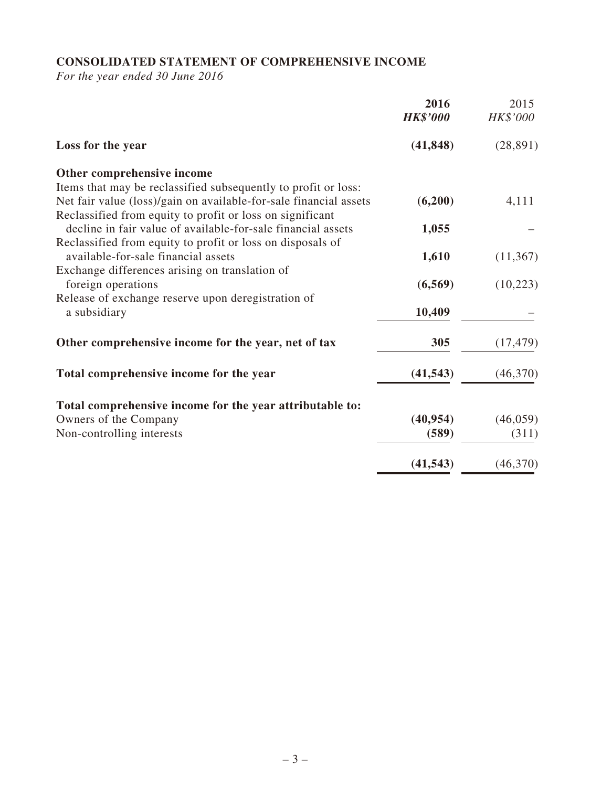# **CONSOLIDATED STATEMENT OF COMPREHENSIVE INCOME**

*For the year ended 30 June 2016*

|                                                                   | 2016<br><b>HK\$'000</b> | 2015<br>HK\$'000 |
|-------------------------------------------------------------------|-------------------------|------------------|
| Loss for the year                                                 | (41, 848)               | (28, 891)        |
| Other comprehensive income                                        |                         |                  |
| Items that may be reclassified subsequently to profit or loss:    |                         |                  |
| Net fair value (loss)/gain on available-for-sale financial assets | (6,200)                 | 4,111            |
| Reclassified from equity to profit or loss on significant         |                         |                  |
| decline in fair value of available-for-sale financial assets      | 1,055                   |                  |
| Reclassified from equity to profit or loss on disposals of        |                         |                  |
| available-for-sale financial assets                               | 1,610                   | (11,367)         |
| Exchange differences arising on translation of                    |                         |                  |
| foreign operations                                                | (6,569)                 | (10,223)         |
| Release of exchange reserve upon deregistration of                |                         |                  |
| a subsidiary                                                      | 10,409                  |                  |
| Other comprehensive income for the year, net of tax               | 305                     | (17, 479)        |
| Total comprehensive income for the year                           | (41, 543)               | (46,370)         |
| Total comprehensive income for the year attributable to:          |                         |                  |
| Owners of the Company                                             | (40, 954)               | (46, 059)        |
| Non-controlling interests                                         | (589)                   | (311)            |
|                                                                   |                         |                  |
|                                                                   | (41, 543)               | (46,370)         |
|                                                                   |                         |                  |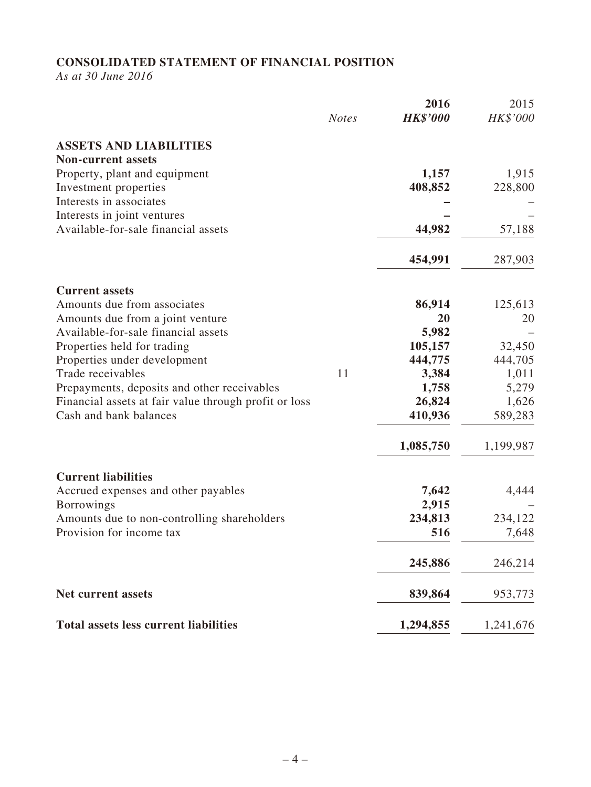# **CONSOLIDATED STATEMENT OF FINANCIAL POSITION**

*As at 30 June 2016*

|                                                                                                      | <b>Notes</b> | 2016<br><b>HK\$'000</b> | 2015<br>HK\$'000 |
|------------------------------------------------------------------------------------------------------|--------------|-------------------------|------------------|
| <b>ASSETS AND LIABILITIES</b>                                                                        |              |                         |                  |
| <b>Non-current assets</b>                                                                            |              |                         |                  |
| Property, plant and equipment                                                                        |              | 1,157                   | 1,915            |
| Investment properties                                                                                |              | 408,852                 | 228,800          |
| Interests in associates                                                                              |              |                         |                  |
| Interests in joint ventures<br>Available-for-sale financial assets                                   |              | 44,982                  | 57,188           |
|                                                                                                      |              |                         |                  |
|                                                                                                      |              | 454,991                 | 287,903          |
| <b>Current assets</b>                                                                                |              |                         |                  |
| Amounts due from associates                                                                          |              | 86,914                  | 125,613          |
| Amounts due from a joint venture                                                                     |              | 20                      | 20               |
| Available-for-sale financial assets                                                                  |              | 5,982                   |                  |
| Properties held for trading                                                                          |              | 105,157                 | 32,450           |
| Properties under development                                                                         |              | 444,775                 | 444,705          |
| Trade receivables                                                                                    | 11           | 3,384<br>1,758          | 1,011<br>5,279   |
| Prepayments, deposits and other receivables<br>Financial assets at fair value through profit or loss |              | 26,824                  | 1,626            |
| Cash and bank balances                                                                               |              | 410,936                 | 589,283          |
|                                                                                                      |              |                         |                  |
|                                                                                                      |              | 1,085,750               | 1,199,987        |
| <b>Current liabilities</b>                                                                           |              |                         |                  |
| Accrued expenses and other payables                                                                  |              | 7,642                   | 4,444            |
| <b>Borrowings</b>                                                                                    |              | 2,915                   |                  |
| Amounts due to non-controlling shareholders                                                          |              | 234,813                 | 234,122          |
| Provision for income tax                                                                             |              | 516                     | 7,648            |
|                                                                                                      |              | 245,886                 | 246,214          |
| <b>Net current assets</b>                                                                            |              | 839,864                 | 953,773          |
| <b>Total assets less current liabilities</b>                                                         |              | 1,294,855               | 1,241,676        |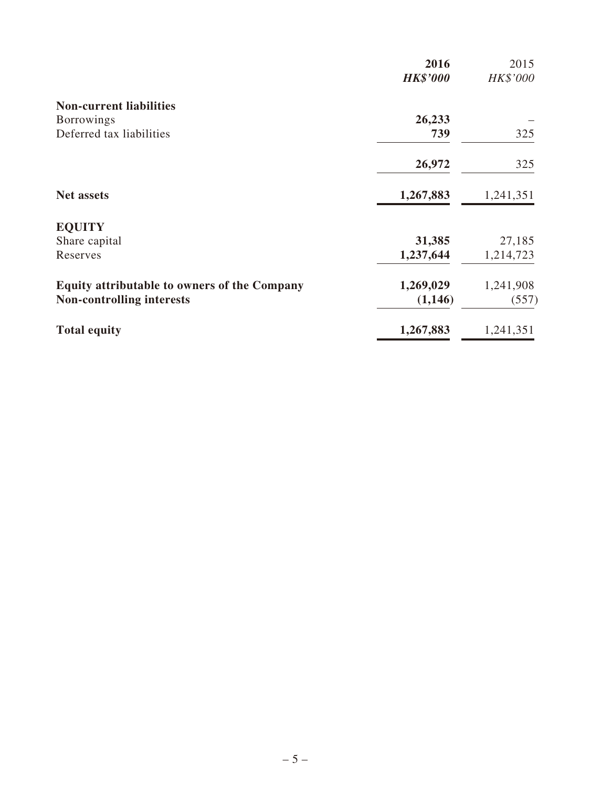|                                                     | 2016<br><b>HK\$'000</b> | 2015<br>HK\$'000 |
|-----------------------------------------------------|-------------------------|------------------|
| <b>Non-current liabilities</b>                      |                         |                  |
| <b>Borrowings</b>                                   | 26,233                  |                  |
| Deferred tax liabilities                            | 739                     | 325              |
|                                                     | 26,972                  | 325              |
| <b>Net assets</b>                                   | 1,267,883               | 1,241,351        |
| <b>EQUITY</b>                                       |                         |                  |
| Share capital                                       | 31,385                  | 27,185           |
| Reserves                                            | 1,237,644               | 1,214,723        |
| <b>Equity attributable to owners of the Company</b> | 1,269,029               | 1,241,908        |
| <b>Non-controlling interests</b>                    | (1,146)                 | (557)            |
| <b>Total equity</b>                                 | 1,267,883               | 1,241,351        |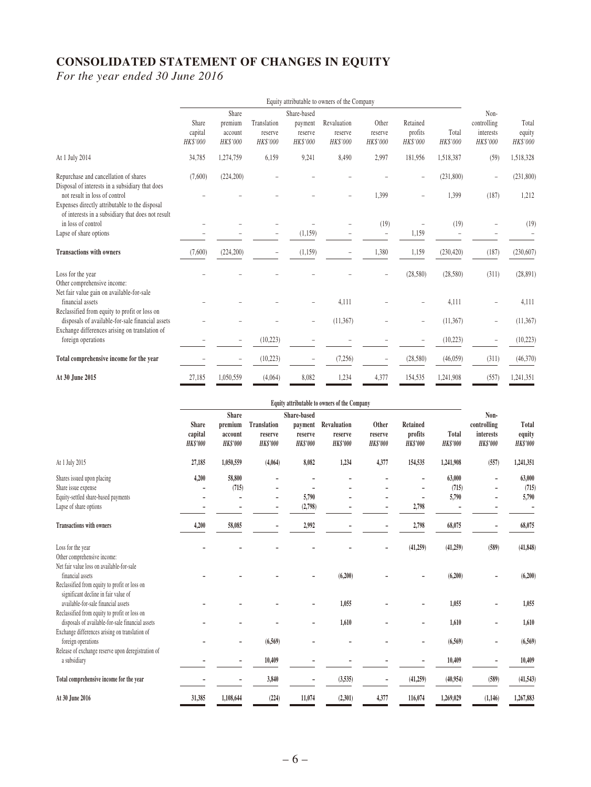# **CONSOLIDATED STATEMENT OF CHANGES IN EQUITY**

*For the year ended 30 June 2016*

|                                                                                                                           | Equity attributable to owners of the Company |                                         |                                    |                                               |                                    |                              |                                 |                    |                                              |                             |
|---------------------------------------------------------------------------------------------------------------------------|----------------------------------------------|-----------------------------------------|------------------------------------|-----------------------------------------------|------------------------------------|------------------------------|---------------------------------|--------------------|----------------------------------------------|-----------------------------|
|                                                                                                                           | Share<br>capital<br>HK\$'000                 | Share<br>premium<br>account<br>HK\$'000 | Translation<br>reserve<br>HK\$'000 | Share-based<br>payment<br>reserve<br>HK\$'000 | Revaluation<br>reserve<br>HK\$'000 | Other<br>reserve<br>HK\$'000 | Retained<br>profits<br>HK\$'000 | Total<br>HK\$'000  | Non-<br>controlling<br>interests<br>HK\$'000 | Total<br>equity<br>HK\$'000 |
| At 1 July 2014                                                                                                            | 34,785                                       | 1,274,759                               | 6,159                              | 9,241                                         | 8,490                              | 2,997                        | 181,956                         | 1,518,387          | (59)                                         | 1,518,328                   |
| Repurchase and cancellation of shares<br>Disposal of interests in a subsidiary that does<br>not result in loss of control | (7,600)                                      | (224, 200)                              |                                    |                                               |                                    | 1,399                        |                                 | (231,800)<br>1,399 | $\overline{\phantom{a}}$<br>(187)            | (231,800)<br>1,212          |
| Expenses directly attributable to the disposal<br>of interests in a subsidiary that does not result                       |                                              |                                         |                                    |                                               |                                    |                              |                                 |                    |                                              |                             |
| in loss of control<br>Lapse of share options                                                                              |                                              |                                         |                                    | (1, 159)                                      |                                    | (19)<br>$\qquad \qquad -$    | 1,159                           | (19)               |                                              | (19)                        |
| <b>Transactions with owners</b>                                                                                           | (7,600)                                      | (224, 200)                              | -                                  | (1,159)                                       |                                    | 1,380                        | 1,159                           | (230, 420)         | (187)                                        | (230, 607)                  |
| Loss for the year<br>Other comprehensive income:                                                                          |                                              |                                         |                                    |                                               |                                    |                              | (28,580)                        | (28, 580)          | (311)                                        | (28, 891)                   |
| Net fair value gain on available-for-sale<br>financial assets<br>Reclassified from equity to profit or loss on            |                                              |                                         |                                    |                                               | 4,111                              |                              |                                 | 4,111              |                                              | 4,111                       |
| disposals of available-for-sale financial assets                                                                          |                                              |                                         |                                    |                                               | (11, 367)                          |                              |                                 | (11, 367)          |                                              | (11, 367)                   |
| Exchange differences arising on translation of<br>foreign operations                                                      |                                              |                                         | (10, 223)                          |                                               |                                    |                              |                                 | (10, 223)          |                                              | (10, 223)                   |
| Total comprehensive income for the year                                                                                   |                                              |                                         | (10, 223)                          |                                               | (7,256)                            |                              | (28,580)                        | (46, 059)          | (311)                                        | (46,370)                    |
| At 30 June 2015                                                                                                           | 27,185                                       | 1,050,559                               | (4,064)                            | 8,082                                         | 1,234                              | 4,377                        | 154,535                         | 1,241,908          | (557)                                        | 1,241,351                   |

|                                                                                                                                                                                | Equity attributable to owners of the Company |                                                       |                                                  |                                                      |                                           |                                     |                                               |                                 |                                                     |                                    |
|--------------------------------------------------------------------------------------------------------------------------------------------------------------------------------|----------------------------------------------|-------------------------------------------------------|--------------------------------------------------|------------------------------------------------------|-------------------------------------------|-------------------------------------|-----------------------------------------------|---------------------------------|-----------------------------------------------------|------------------------------------|
|                                                                                                                                                                                | <b>Share</b><br>capital<br><b>HK\$'000</b>   | <b>Share</b><br>premium<br>account<br><b>HK\$'000</b> | <b>Translation</b><br>reserve<br><b>HK\$'000</b> | Share-based<br>payment<br>reserve<br><b>HK\$'000</b> | Revaluation<br>reserve<br><b>HK\$'000</b> | Other<br>reserve<br><b>HK\$'000</b> | <b>Retained</b><br>profits<br><b>HK\$'000</b> | <b>Total</b><br><b>HK\$'000</b> | Non-<br>controlling<br>interests<br><b>HK\$'000</b> | Total<br>equity<br><b>HK\$'000</b> |
| At 1 July 2015                                                                                                                                                                 | 27,185                                       | 1,050,559                                             | (4,064)                                          | 8,082                                                | 1,234                                     | 4,377                               | 154,535                                       | 1,241,908                       | (557)                                               | 1,241,351                          |
| Shares issued upon placing<br>Share issue expense<br>Equity-settled share-based payments<br>Lapse of share options                                                             | 4,200                                        | 58,800<br>(715)<br>۰                                  | $\overline{a}$                                   | 5,790<br>(2,798)                                     |                                           | -                                   | 2,798                                         | 63,000<br>(715)<br>5,790        | $\overline{a}$                                      | 63,000<br>(715)<br>5,790           |
| <b>Transactions with owners</b>                                                                                                                                                | 4,200                                        | 58,085                                                |                                                  | 2,992                                                |                                           |                                     | 2,798                                         | 68,075                          |                                                     | 68,075                             |
| Loss for the year<br>Other comprehensive income:<br>Net fair value loss on available-for-sale<br>financial assets                                                              |                                              |                                                       |                                                  |                                                      | (6,200)                                   |                                     | (41, 259)                                     | (41,259)<br>(6,200)             | (589)                                               | (41, 848)<br>(6,200)               |
| Reclassified from equity to profit or loss on<br>significant decline in fair value of<br>available-for-sale financial assets<br>Reclassified from equity to profit or loss on  |                                              |                                                       |                                                  |                                                      | 1,055                                     |                                     |                                               | 1,055                           |                                                     | 1,055                              |
| disposals of available-for-sale financial assets<br>Exchange differences arising on translation of<br>foreign operations<br>Release of exchange reserve upon deregistration of |                                              |                                                       | (6, 569)                                         |                                                      | 1,610                                     |                                     | ٠                                             | 1,610<br>(6,569)                |                                                     | 1,610<br>(6,569)                   |
| a subsidiary                                                                                                                                                                   |                                              |                                                       | 10,409                                           |                                                      |                                           |                                     |                                               | 10,409                          |                                                     | 10,409                             |
| Total comprehensive income for the year                                                                                                                                        |                                              |                                                       | 3,840                                            |                                                      | (3,535)                                   | -                                   | (41,259)                                      | (40,954)                        | (589)                                               | (41, 543)                          |
| At 30 June 2016                                                                                                                                                                | 31,385                                       | 1,108,644                                             | (224)                                            | 11,074                                               | (2,301)                                   | 4,377                               | 116,074                                       | 1,269,029                       | (1, 146)                                            | 1,267,883                          |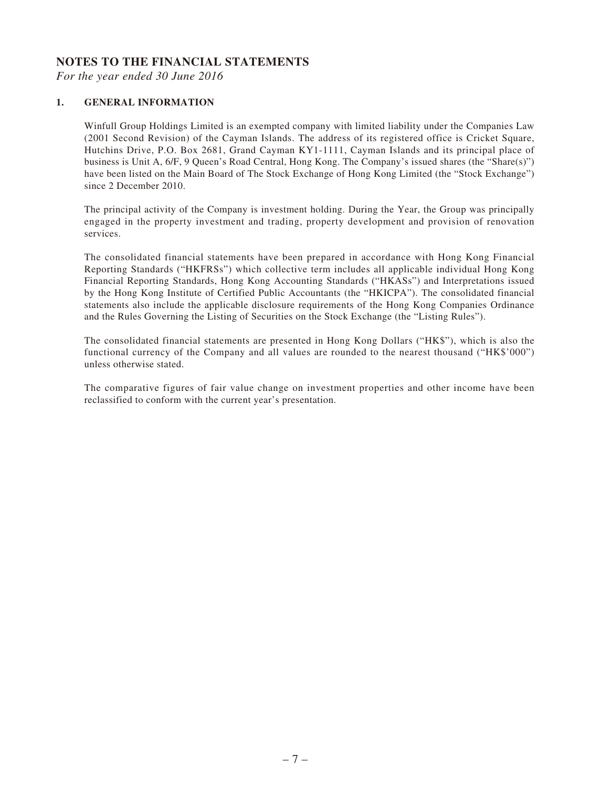## **NOTES TO THE FINANCIAL STATEMENTS**

*For the year ended 30 June 2016*

## **1. GENERAL INFORMATION**

Winfull Group Holdings Limited is an exempted company with limited liability under the Companies Law (2001 Second Revision) of the Cayman Islands. The address of its registered office is Cricket Square, Hutchins Drive, P.O. Box 2681, Grand Cayman KY1-1111, Cayman Islands and its principal place of business is Unit A, 6/F, 9 Queen's Road Central, Hong Kong. The Company's issued shares (the "Share(s)") have been listed on the Main Board of The Stock Exchange of Hong Kong Limited (the "Stock Exchange") since 2 December 2010.

The principal activity of the Company is investment holding. During the Year, the Group was principally engaged in the property investment and trading, property development and provision of renovation services.

The consolidated financial statements have been prepared in accordance with Hong Kong Financial Reporting Standards ("HKFRSs") which collective term includes all applicable individual Hong Kong Financial Reporting Standards, Hong Kong Accounting Standards ("HKASs") and Interpretations issued by the Hong Kong Institute of Certified Public Accountants (the "HKICPA"). The consolidated financial statements also include the applicable disclosure requirements of the Hong Kong Companies Ordinance and the Rules Governing the Listing of Securities on the Stock Exchange (the "Listing Rules").

The consolidated financial statements are presented in Hong Kong Dollars ("HK\$"), which is also the functional currency of the Company and all values are rounded to the nearest thousand ("HK\$'000") unless otherwise stated.

The comparative figures of fair value change on investment properties and other income have been reclassified to conform with the current year's presentation.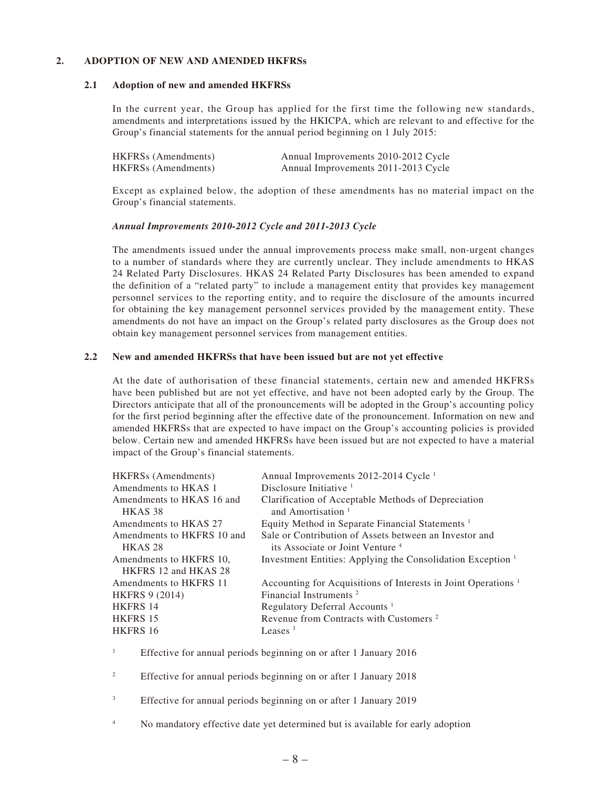## **2. ADOPTION OF NEW AND AMENDED HKFRSs**

## **2.1 Adoption of new and amended HKFRSs**

In the current year, the Group has applied for the first time the following new standards, amendments and interpretations issued by the HKICPA, which are relevant to and effective for the Group's financial statements for the annual period beginning on 1 July 2015:

| <b>HKFRSs</b> (Amendments) | Annual Improvements 2010-2012 Cycle |
|----------------------------|-------------------------------------|
| <b>HKFRSs</b> (Amendments) | Annual Improvements 2011-2013 Cycle |

Except as explained below, the adoption of these amendments has no material impact on the Group's financial statements.

## *Annual Improvements 2010-2012 Cycle and 2011-2013 Cycle*

The amendments issued under the annual improvements process make small, non-urgent changes to a number of standards where they are currently unclear. They include amendments to HKAS 24 Related Party Disclosures. HKAS 24 Related Party Disclosures has been amended to expand the definition of a "related party" to include a management entity that provides key management personnel services to the reporting entity, and to require the disclosure of the amounts incurred for obtaining the key management personnel services provided by the management entity. These amendments do not have an impact on the Group's related party disclosures as the Group does not obtain key management personnel services from management entities.

## **2.2 New and amended HKFRSs that have been issued but are not yet effective**

At the date of authorisation of these financial statements, certain new and amended HKFRSs have been published but are not yet effective, and have not been adopted early by the Group. The Directors anticipate that all of the pronouncements will be adopted in the Group's accounting policy for the first period beginning after the effective date of the pronouncement. Information on new and amended HKFRSs that are expected to have impact on the Group's accounting policies is provided below. Certain new and amended HKFRSs have been issued but are not expected to have a material impact of the Group's financial statements.

| <b>HKFRSs</b> (Amendments) | Annual Improvements 2012-2014 Cycle <sup>1</sup>                          |
|----------------------------|---------------------------------------------------------------------------|
| Amendments to HKAS 1       | Disclosure Initiative $1$                                                 |
| Amendments to HKAS 16 and  | Clarification of Acceptable Methods of Depreciation                       |
| HKAS <sub>38</sub>         | and Amortisation <sup>1</sup>                                             |
| Amendments to HKAS 27      | Equity Method in Separate Financial Statements <sup>1</sup>               |
| Amendments to HKFRS 10 and | Sale or Contribution of Assets between an Investor and                    |
| HKAS <sub>28</sub>         | its Associate or Joint Venture <sup>4</sup>                               |
| Amendments to HKFRS 10.    | Investment Entities: Applying the Consolidation Exception <sup>1</sup>    |
| HKFRS 12 and HKAS 28       |                                                                           |
| Amendments to HKFRS 11     | Accounting for Acquisitions of Interests in Joint Operations <sup>1</sup> |
| <b>HKFRS 9 (2014)</b>      | Financial Instruments <sup>2</sup>                                        |
| HKFRS 14                   | Regulatory Deferral Accounts <sup>1</sup>                                 |
| HKFRS 15                   | Revenue from Contracts with Customers <sup>2</sup>                        |
| <b>HKFRS 16</b>            | Leases $3$                                                                |
|                            |                                                                           |

1 Effective for annual periods beginning on or after 1 January 2016

2 Effective for annual periods beginning on or after 1 January 2018

- 3 Effective for annual periods beginning on or after 1 January 2019
- 4 No mandatory effective date yet determined but is available for early adoption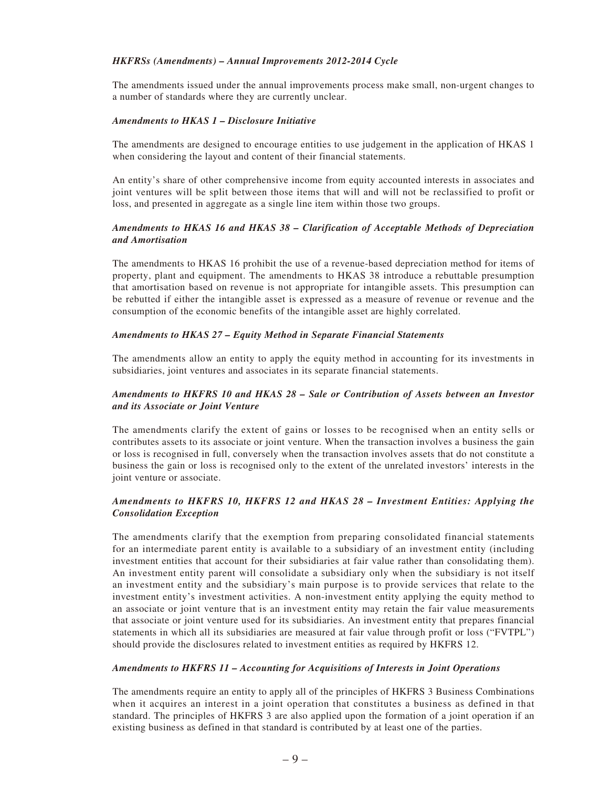#### *HKFRSs (Amendments) – Annual Improvements 2012-2014 Cycle*

The amendments issued under the annual improvements process make small, non-urgent changes to a number of standards where they are currently unclear.

#### *Amendments to HKAS 1 – Disclosure Initiative*

The amendments are designed to encourage entities to use judgement in the application of HKAS 1 when considering the layout and content of their financial statements.

An entity's share of other comprehensive income from equity accounted interests in associates and joint ventures will be split between those items that will and will not be reclassified to profit or loss, and presented in aggregate as a single line item within those two groups.

## *Amendments to HKAS 16 and HKAS 38 – Clarification of Acceptable Methods of Depreciation and Amortisation*

The amendments to HKAS 16 prohibit the use of a revenue-based depreciation method for items of property, plant and equipment. The amendments to HKAS 38 introduce a rebuttable presumption that amortisation based on revenue is not appropriate for intangible assets. This presumption can be rebutted if either the intangible asset is expressed as a measure of revenue or revenue and the consumption of the economic benefits of the intangible asset are highly correlated.

#### *Amendments to HKAS 27 – Equity Method in Separate Financial Statements*

The amendments allow an entity to apply the equity method in accounting for its investments in subsidiaries, joint ventures and associates in its separate financial statements.

## *Amendments to HKFRS 10 and HKAS 28 – Sale or Contribution of Assets between an Investor and its Associate or Joint Venture*

The amendments clarify the extent of gains or losses to be recognised when an entity sells or contributes assets to its associate or joint venture. When the transaction involves a business the gain or loss is recognised in full, conversely when the transaction involves assets that do not constitute a business the gain or loss is recognised only to the extent of the unrelated investors' interests in the joint venture or associate.

## *Amendments to HKFRS 10, HKFRS 12 and HKAS 28 – Investment Entities: Applying the Consolidation Exception*

The amendments clarify that the exemption from preparing consolidated financial statements for an intermediate parent entity is available to a subsidiary of an investment entity (including investment entities that account for their subsidiaries at fair value rather than consolidating them). An investment entity parent will consolidate a subsidiary only when the subsidiary is not itself an investment entity and the subsidiary's main purpose is to provide services that relate to the investment entity's investment activities. A non-investment entity applying the equity method to an associate or joint venture that is an investment entity may retain the fair value measurements that associate or joint venture used for its subsidiaries. An investment entity that prepares financial statements in which all its subsidiaries are measured at fair value through profit or loss ("FVTPL") should provide the disclosures related to investment entities as required by HKFRS 12.

## *Amendments to HKFRS 11 – Accounting for Acquisitions of Interests in Joint Operations*

The amendments require an entity to apply all of the principles of HKFRS 3 Business Combinations when it acquires an interest in a joint operation that constitutes a business as defined in that standard. The principles of HKFRS 3 are also applied upon the formation of a joint operation if an existing business as defined in that standard is contributed by at least one of the parties.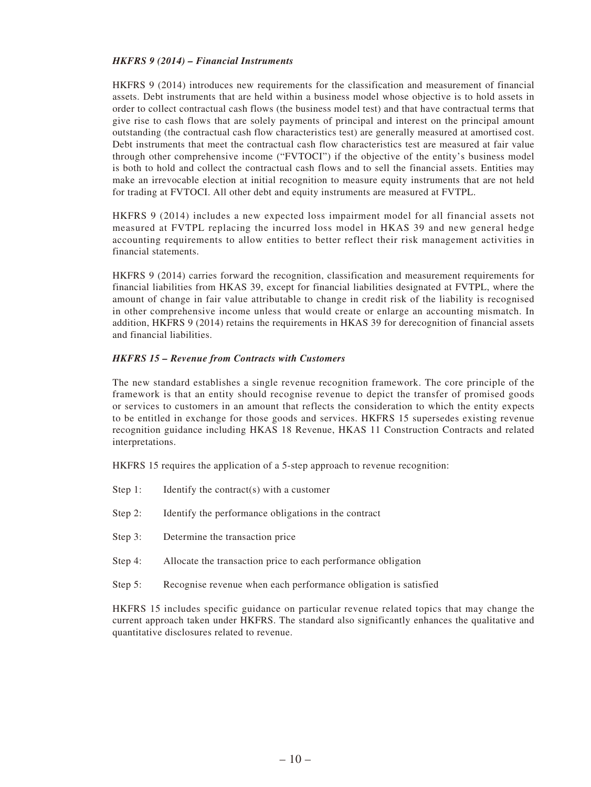#### *HKFRS 9 (2014) – Financial Instruments*

HKFRS 9 (2014) introduces new requirements for the classification and measurement of financial assets. Debt instruments that are held within a business model whose objective is to hold assets in order to collect contractual cash flows (the business model test) and that have contractual terms that give rise to cash flows that are solely payments of principal and interest on the principal amount outstanding (the contractual cash flow characteristics test) are generally measured at amortised cost. Debt instruments that meet the contractual cash flow characteristics test are measured at fair value through other comprehensive income ("FVTOCI") if the objective of the entity's business model is both to hold and collect the contractual cash flows and to sell the financial assets. Entities may make an irrevocable election at initial recognition to measure equity instruments that are not held for trading at FVTOCI. All other debt and equity instruments are measured at FVTPL.

HKFRS 9 (2014) includes a new expected loss impairment model for all financial assets not measured at FVTPL replacing the incurred loss model in HKAS 39 and new general hedge accounting requirements to allow entities to better reflect their risk management activities in financial statements.

HKFRS 9 (2014) carries forward the recognition, classification and measurement requirements for financial liabilities from HKAS 39, except for financial liabilities designated at FVTPL, where the amount of change in fair value attributable to change in credit risk of the liability is recognised in other comprehensive income unless that would create or enlarge an accounting mismatch. In addition, HKFRS 9 (2014) retains the requirements in HKAS 39 for derecognition of financial assets and financial liabilities.

#### *HKFRS 15 – Revenue from Contracts with Customers*

The new standard establishes a single revenue recognition framework. The core principle of the framework is that an entity should recognise revenue to depict the transfer of promised goods or services to customers in an amount that reflects the consideration to which the entity expects to be entitled in exchange for those goods and services. HKFRS 15 supersedes existing revenue recognition guidance including HKAS 18 Revenue, HKAS 11 Construction Contracts and related interpretations.

HKFRS 15 requires the application of a 5-step approach to revenue recognition:

- Step 1: Identify the contract(s) with a customer
- Step 2: Identify the performance obligations in the contract
- Step 3: Determine the transaction price
- Step 4: Allocate the transaction price to each performance obligation
- Step 5: Recognise revenue when each performance obligation is satisfied

HKFRS 15 includes specific guidance on particular revenue related topics that may change the current approach taken under HKFRS. The standard also significantly enhances the qualitative and quantitative disclosures related to revenue.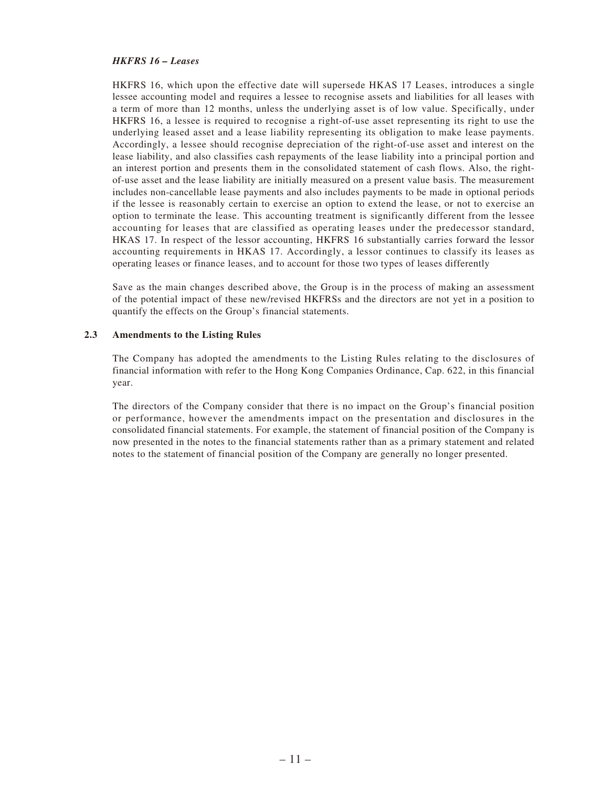#### *HKFRS 16 – Leases*

HKFRS 16, which upon the effective date will supersede HKAS 17 Leases, introduces a single lessee accounting model and requires a lessee to recognise assets and liabilities for all leases with a term of more than 12 months, unless the underlying asset is of low value. Specifically, under HKFRS 16, a lessee is required to recognise a right-of-use asset representing its right to use the underlying leased asset and a lease liability representing its obligation to make lease payments. Accordingly, a lessee should recognise depreciation of the right-of-use asset and interest on the lease liability, and also classifies cash repayments of the lease liability into a principal portion and an interest portion and presents them in the consolidated statement of cash flows. Also, the rightof-use asset and the lease liability are initially measured on a present value basis. The measurement includes non-cancellable lease payments and also includes payments to be made in optional periods if the lessee is reasonably certain to exercise an option to extend the lease, or not to exercise an option to terminate the lease. This accounting treatment is significantly different from the lessee accounting for leases that are classified as operating leases under the predecessor standard, HKAS 17. In respect of the lessor accounting, HKFRS 16 substantially carries forward the lessor accounting requirements in HKAS 17. Accordingly, a lessor continues to classify its leases as operating leases or finance leases, and to account for those two types of leases differently

Save as the main changes described above, the Group is in the process of making an assessment of the potential impact of these new/revised HKFRSs and the directors are not yet in a position to quantify the effects on the Group's financial statements.

#### **2.3 Amendments to the Listing Rules**

The Company has adopted the amendments to the Listing Rules relating to the disclosures of financial information with refer to the Hong Kong Companies Ordinance, Cap. 622, in this financial year.

The directors of the Company consider that there is no impact on the Group's financial position or performance, however the amendments impact on the presentation and disclosures in the consolidated financial statements. For example, the statement of financial position of the Company is now presented in the notes to the financial statements rather than as a primary statement and related notes to the statement of financial position of the Company are generally no longer presented.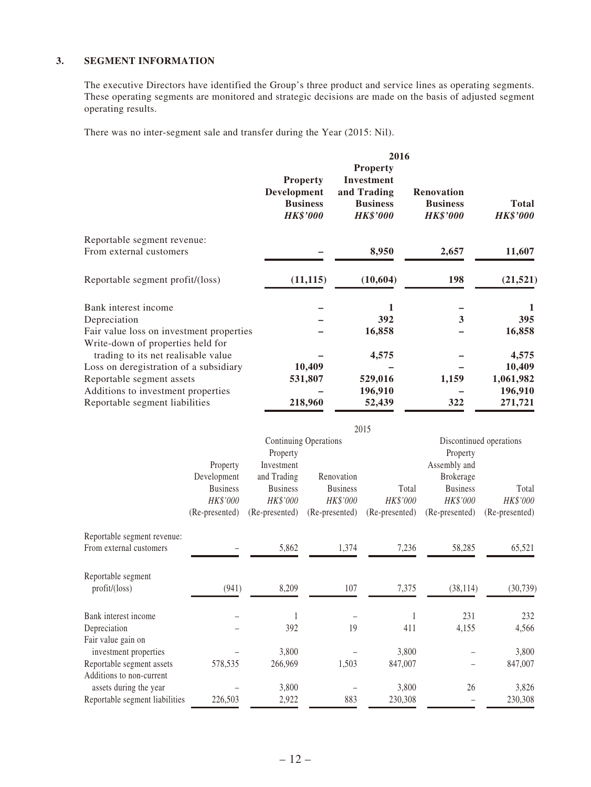## **3. SEGMENT INFORMATION**

The executive Directors have identified the Group's three product and service lines as operating segments. These operating segments are monitored and strategic decisions are made on the basis of adjusted segment operating results.

There was no inter-segment sale and transfer during the Year (2015: Nil).

|                                                                                                                                                 |                                                                          |                                                                                        |                                                                                             | 2016                                                                               |                                                                                        |                                                                |
|-------------------------------------------------------------------------------------------------------------------------------------------------|--------------------------------------------------------------------------|----------------------------------------------------------------------------------------|---------------------------------------------------------------------------------------------|------------------------------------------------------------------------------------|----------------------------------------------------------------------------------------|----------------------------------------------------------------|
|                                                                                                                                                 |                                                                          | Development                                                                            | <b>Property</b><br><b>Business</b><br><b>HK\$'000</b>                                       | <b>Property</b><br>Investment<br>and Trading<br><b>Business</b><br><b>HK\$'000</b> | Renovation<br><b>Business</b><br><b>HK\$'000</b>                                       | <b>Total</b><br><b>HK\$'000</b>                                |
| Reportable segment revenue:<br>From external customers                                                                                          |                                                                          |                                                                                        |                                                                                             | 8,950                                                                              | 2,657                                                                                  | 11,607                                                         |
| Reportable segment profit/(loss)                                                                                                                |                                                                          |                                                                                        | (11, 115)                                                                                   | (10, 604)                                                                          | 198                                                                                    | (21, 521)                                                      |
| Bank interest income<br>Depreciation<br>Fair value loss on investment properties                                                                |                                                                          |                                                                                        |                                                                                             | 1<br>392<br>16,858                                                                 | 3                                                                                      | 1<br>395<br>16,858                                             |
| Write-down of properties held for<br>trading to its net realisable value<br>Loss on deregistration of a subsidiary<br>Reportable segment assets |                                                                          |                                                                                        | 10,409<br>531,807                                                                           | 4,575<br>529,016                                                                   | 1,159                                                                                  | 4,575<br>10,409<br>1,061,982                                   |
| Additions to investment properties<br>Reportable segment liabilities                                                                            |                                                                          |                                                                                        | 218,960                                                                                     | 196,910<br>52,439                                                                  | 322                                                                                    | 196,910<br>271,721                                             |
|                                                                                                                                                 | Property<br>Development<br><b>Business</b><br>HK\$'000<br>(Re-presented) | Property<br>Investment<br>and Trading<br><b>Business</b><br>HK\$'000<br>(Re-presented) | <b>Continuing Operations</b><br>Renovation<br><b>Business</b><br>HK\$'000<br>(Re-presented) | 2015<br>Total<br>HK\$'000<br>(Re-presented)                                        | Property<br>Assembly and<br>Brokerage<br><b>Business</b><br>HK\$'000<br>(Re-presented) | Discontinued operations<br>Total<br>HK\$'000<br>(Re-presented) |
| Reportable segment revenue:<br>From external customers                                                                                          |                                                                          | 5,862                                                                                  | 1,374                                                                                       | 7,236                                                                              | 58,285                                                                                 | 65,521                                                         |
| Reportable segment<br>profit/(loss)                                                                                                             | (941)                                                                    | 8,209                                                                                  | 107                                                                                         | 7,375                                                                              | (38, 114)                                                                              | (30, 739)                                                      |
| Bank interest income<br>Depreciation<br>Fair value gain on                                                                                      |                                                                          | 1<br>392                                                                               | 19                                                                                          | $\mathbf{1}$<br>411                                                                | 231<br>4,155                                                                           | 232<br>4,566                                                   |
| investment properties<br>Reportable segment assets<br>Additions to non-current                                                                  | 578,535                                                                  | 3,800<br>266,969                                                                       | 1,503                                                                                       | 3,800<br>847,007                                                                   |                                                                                        | 3,800<br>847,007                                               |
| assets during the year<br>Reportable segment liabilities                                                                                        | 226,503                                                                  | 3,800<br>2,922                                                                         | 883                                                                                         | 3,800<br>230,308                                                                   | 26                                                                                     | 3,826<br>230,308                                               |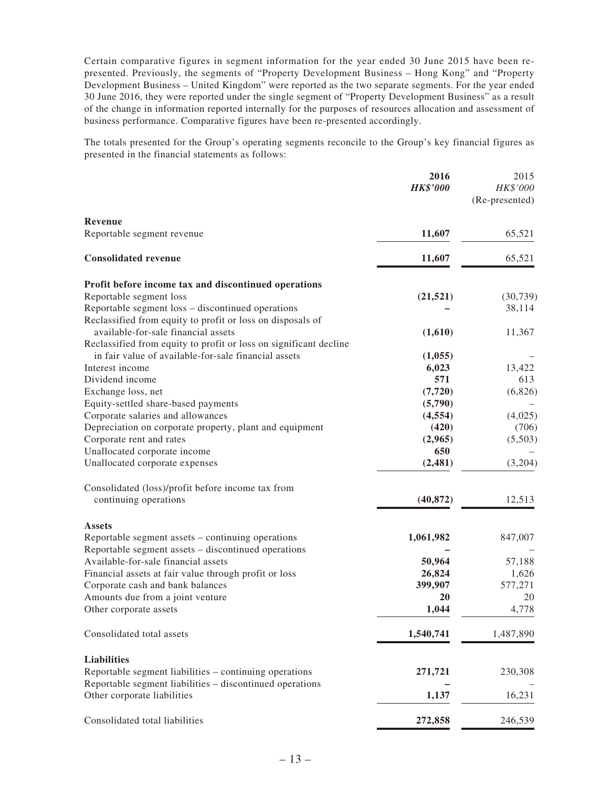Certain comparative figures in segment information for the year ended 30 June 2015 have been represented. Previously, the segments of "Property Development Business – Hong Kong" and "Property Development Business – United Kingdom" were reported as the two separate segments. For the year ended 30 June 2016, they were reported under the single segment of "Property Development Business" as a result of the change in information reported internally for the purposes of resources allocation and assessment of business performance. Comparative figures have been re-presented accordingly.

The totals presented for the Group's operating segments reconcile to the Group's key financial figures as presented in the financial statements as follows:

|                                                                                                                           | 2016<br><b>HK\$'000</b> | 2015<br>HK\$'000<br>(Re-presented) |
|---------------------------------------------------------------------------------------------------------------------------|-------------------------|------------------------------------|
| Revenue                                                                                                                   |                         |                                    |
| Reportable segment revenue                                                                                                | 11,607                  | 65,521                             |
| <b>Consolidated revenue</b>                                                                                               | 11,607                  | 65,521                             |
| Profit before income tax and discontinued operations                                                                      |                         |                                    |
| Reportable segment loss                                                                                                   | (21, 521)               | (30, 739)                          |
| Reportable segment loss - discontinued operations                                                                         |                         | 38,114                             |
| Reclassified from equity to profit or loss on disposals of                                                                |                         |                                    |
| available-for-sale financial assets                                                                                       | (1,610)                 | 11,367                             |
| Reclassified from equity to profit or loss on significant decline<br>in fair value of available-for-sale financial assets | (1,055)                 |                                    |
| Interest income                                                                                                           | 6,023                   | 13,422                             |
| Dividend income                                                                                                           | 571                     | 613                                |
| Exchange loss, net                                                                                                        | (7, 720)                | (6,826)                            |
| Equity-settled share-based payments                                                                                       | (5,790)                 |                                    |
| Corporate salaries and allowances                                                                                         | (4, 554)                | (4,025)                            |
| Depreciation on corporate property, plant and equipment                                                                   | (420)                   | (706)                              |
| Corporate rent and rates                                                                                                  | (2,965)                 | (5,503)                            |
| Unallocated corporate income                                                                                              | 650                     |                                    |
| Unallocated corporate expenses                                                                                            | (2, 481)                | (3,204)                            |
| Consolidated (loss)/profit before income tax from                                                                         |                         |                                    |
| continuing operations                                                                                                     | (40, 872)               | 12,513                             |
| <b>Assets</b>                                                                                                             |                         |                                    |
| Reportable segment assets – continuing operations                                                                         | 1,061,982               | 847,007                            |
| Reportable segment assets - discontinued operations                                                                       |                         |                                    |
| Available-for-sale financial assets                                                                                       | 50,964                  | 57,188                             |
| Financial assets at fair value through profit or loss                                                                     | 26,824<br>399,907       | 1,626<br>577,271                   |
| Corporate cash and bank balances<br>Amounts due from a joint venture                                                      | 20                      | 20                                 |
| Other corporate assets                                                                                                    | 1,044                   | 4,778                              |
|                                                                                                                           |                         |                                    |
| Consolidated total assets                                                                                                 | 1,540,741               | 1,487,890                          |
| <b>Liabilities</b>                                                                                                        |                         |                                    |
| Reportable segment liabilities - continuing operations                                                                    | 271,721                 | 230,308                            |
| Reportable segment liabilities - discontinued operations                                                                  |                         |                                    |
| Other corporate liabilities                                                                                               | 1,137                   | 16,231                             |
| Consolidated total liabilities                                                                                            | 272,858                 | 246,539                            |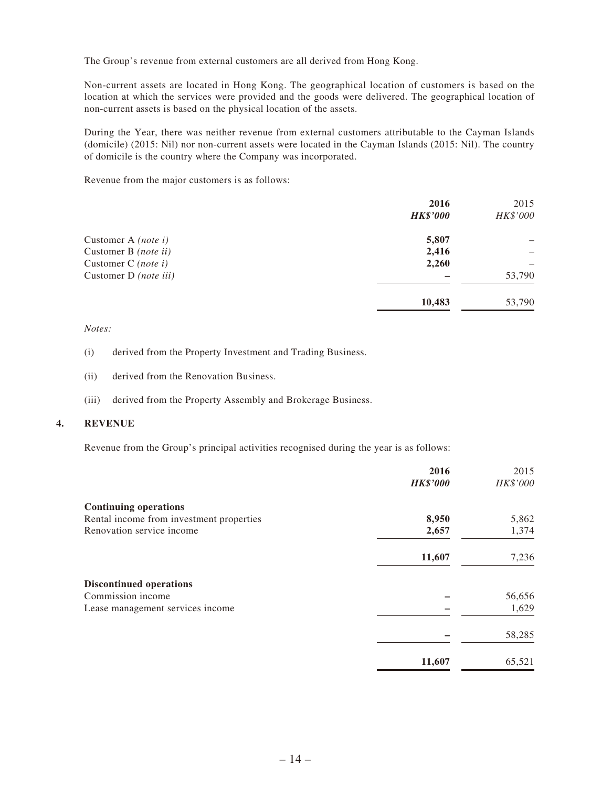The Group's revenue from external customers are all derived from Hong Kong.

Non-current assets are located in Hong Kong. The geographical location of customers is based on the location at which the services were provided and the goods were delivered. The geographical location of non-current assets is based on the physical location of the assets.

During the Year, there was neither revenue from external customers attributable to the Cayman Islands (domicile) (2015: Nil) nor non-current assets were located in the Cayman Islands (2015: Nil). The country of domicile is the country where the Company was incorporated.

Revenue from the major customers is as follows:

|                            | 2016            | 2015     |
|----------------------------|-----------------|----------|
|                            | <b>HK\$'000</b> | HK\$'000 |
| Customer A (note i)        | 5,807           |          |
| Customer B (note ii)       | 2,416           |          |
| Customer C <i>(note i)</i> | 2,260           |          |
| Customer D (note iii)      |                 | 53,790   |
|                            | 10,483          | 53,790   |

*Notes:*

- (i) derived from the Property Investment and Trading Business.
- (ii) derived from the Renovation Business.
- (iii) derived from the Property Assembly and Brokerage Business.

#### **4. REVENUE**

Revenue from the Group's principal activities recognised during the year is as follows:

|                                          | 2016            | 2015     |
|------------------------------------------|-----------------|----------|
|                                          | <b>HK\$'000</b> | HK\$'000 |
| <b>Continuing operations</b>             |                 |          |
| Rental income from investment properties | 8,950           | 5,862    |
| Renovation service income                | 2,657           | 1,374    |
|                                          | 11,607          | 7,236    |
| <b>Discontinued operations</b>           |                 |          |
| Commission income                        |                 | 56,656   |
| Lease management services income         |                 | 1,629    |
|                                          |                 | 58,285   |
|                                          | 11,607          | 65,521   |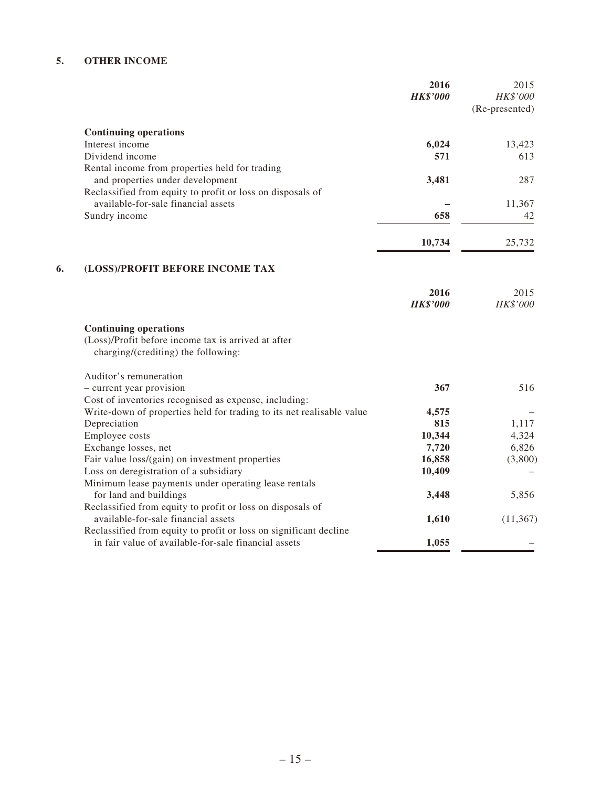# **5. OTHER INCOME**

|    |                                                                                     | 2016<br><b>HK\$'000</b> | 2015<br>HK\$'000<br>(Re-presented) |
|----|-------------------------------------------------------------------------------------|-------------------------|------------------------------------|
|    | <b>Continuing operations</b>                                                        |                         |                                    |
|    | Interest income                                                                     | 6,024                   | 13,423                             |
|    | Dividend income                                                                     | 571                     | 613                                |
|    | Rental income from properties held for trading                                      |                         |                                    |
|    | and properties under development                                                    | 3,481                   | 287                                |
|    | Reclassified from equity to profit or loss on disposals of                          |                         |                                    |
|    | available-for-sale financial assets                                                 |                         | 11,367                             |
|    | Sundry income                                                                       | 658                     | 42                                 |
|    |                                                                                     | 10,734                  | 25,732                             |
| 6. | (LOSS)/PROFIT BEFORE INCOME TAX                                                     |                         |                                    |
|    |                                                                                     |                         |                                    |
|    |                                                                                     | 2016<br><b>HK\$'000</b> | 2015<br>HK\$'000                   |
|    | <b>Continuing operations</b><br>(Loss)/Profit before income tax is arrived at after |                         |                                    |
|    | charging/(crediting) the following:                                                 |                         |                                    |
|    | Auditor's remuneration                                                              |                         |                                    |
|    | - current year provision                                                            | 367                     | 516                                |
|    | Cost of inventories recognised as expense, including:                               |                         |                                    |
|    | Write-down of properties held for trading to its net realisable value               | 4,575                   |                                    |
|    | Depreciation                                                                        | 815                     | 1,117                              |
|    | Employee costs                                                                      | 10,344                  | 4,324                              |
|    | Exchange losses, net                                                                | 7,720                   | 6,826                              |
|    | Fair value loss/(gain) on investment properties                                     | 16,858                  | (3,800)                            |
|    | Loss on deregistration of a subsidiary                                              | 10,409                  |                                    |
|    | Minimum lease payments under operating lease rentals                                |                         |                                    |
|    | for land and buildings                                                              | 3,448                   | 5,856                              |
|    | Reclassified from equity to profit or loss on disposals of                          |                         |                                    |
|    | available-for-sale financial assets                                                 | 1,610                   | (11, 367)                          |
|    | Reclassified from equity to profit or loss on significant decline                   |                         |                                    |
|    | in fair value of available-for-sale financial assets                                | 1,055                   |                                    |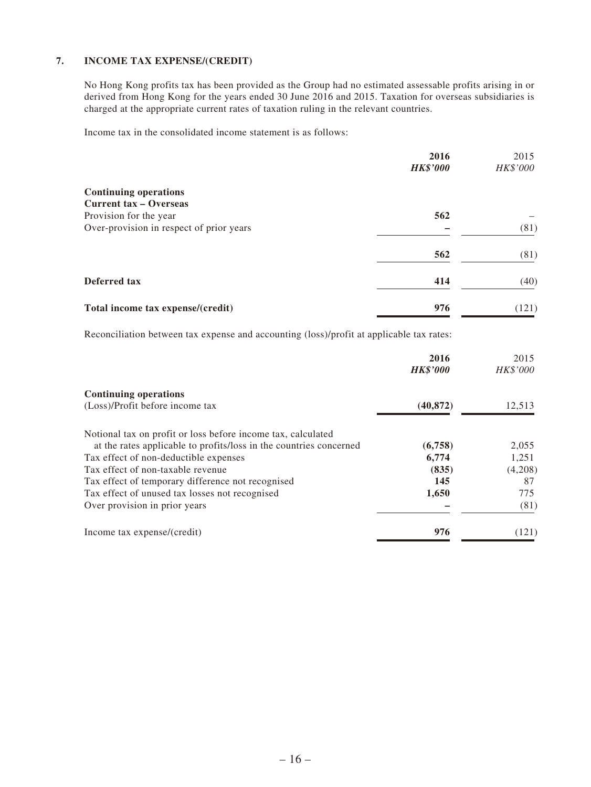## **7. INCOME TAX EXPENSE/(CREDIT)**

No Hong Kong profits tax has been provided as the Group had no estimated assessable profits arising in or derived from Hong Kong for the years ended 30 June 2016 and 2015. Taxation for overseas subsidiaries is charged at the appropriate current rates of taxation ruling in the relevant countries.

Income tax in the consolidated income statement is as follows:

|                                          | 2016            | 2015     |
|------------------------------------------|-----------------|----------|
|                                          | <b>HK\$'000</b> | HK\$'000 |
| <b>Continuing operations</b>             |                 |          |
| <b>Current tax – Overseas</b>            |                 |          |
| Provision for the year                   | 562             |          |
| Over-provision in respect of prior years |                 | (81)     |
|                                          | 562             | (81)     |
| Deferred tax                             | 414             | (40)     |
| Total income tax expense/(credit)        | 976             | (121)    |

Reconciliation between tax expense and accounting (loss)/profit at applicable tax rates:

|                                                                    | 2016<br><b>HK\$'000</b> | 2015<br>HK\$'000 |
|--------------------------------------------------------------------|-------------------------|------------------|
| <b>Continuing operations</b>                                       |                         |                  |
| (Loss)/Profit before income tax                                    | (40, 872)               | 12,513           |
| Notional tax on profit or loss before income tax, calculated       |                         |                  |
| at the rates applicable to profits/loss in the countries concerned | (6,758)                 | 2,055            |
| Tax effect of non-deductible expenses                              | 6,774                   | 1,251            |
| Tax effect of non-taxable revenue                                  | (835)                   | (4,208)          |
| Tax effect of temporary difference not recognised                  | 145                     | 87               |
| Tax effect of unused tax losses not recognised                     | 1,650                   | 775              |
| Over provision in prior years                                      |                         | (81)             |
| Income tax expense/(credit)                                        | 976                     | (121)            |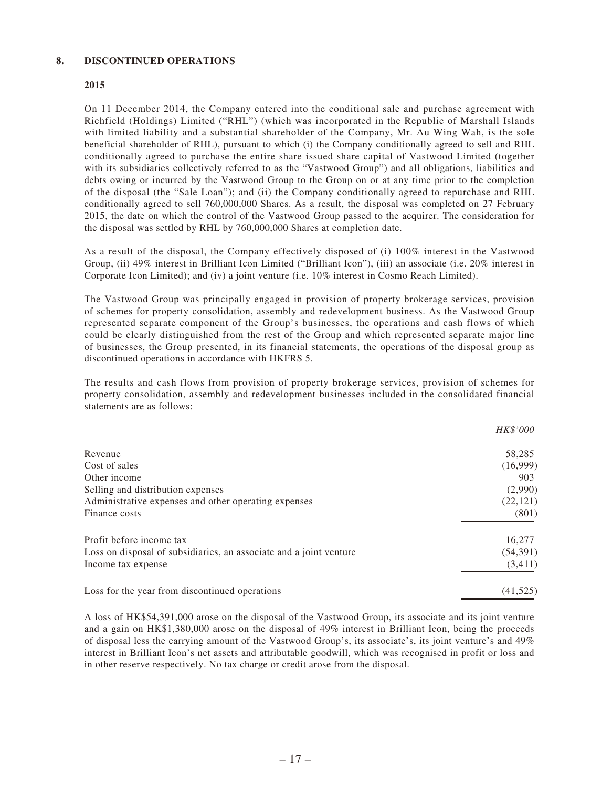## **8. DISCONTINUED OPERATIONS**

## **2015**

On 11 December 2014, the Company entered into the conditional sale and purchase agreement with Richfield (Holdings) Limited ("RHL") (which was incorporated in the Republic of Marshall Islands with limited liability and a substantial shareholder of the Company, Mr. Au Wing Wah, is the sole beneficial shareholder of RHL), pursuant to which (i) the Company conditionally agreed to sell and RHL conditionally agreed to purchase the entire share issued share capital of Vastwood Limited (together with its subsidiaries collectively referred to as the "Vastwood Group") and all obligations, liabilities and debts owing or incurred by the Vastwood Group to the Group on or at any time prior to the completion of the disposal (the "Sale Loan"); and (ii) the Company conditionally agreed to repurchase and RHL conditionally agreed to sell 760,000,000 Shares. As a result, the disposal was completed on 27 February 2015, the date on which the control of the Vastwood Group passed to the acquirer. The consideration for the disposal was settled by RHL by 760,000,000 Shares at completion date.

As a result of the disposal, the Company effectively disposed of (i) 100% interest in the Vastwood Group, (ii) 49% interest in Brilliant Icon Limited ("Brilliant Icon"), (iii) an associate (i.e. 20% interest in Corporate Icon Limited); and (iv) a joint venture (i.e. 10% interest in Cosmo Reach Limited).

The Vastwood Group was principally engaged in provision of property brokerage services, provision of schemes for property consolidation, assembly and redevelopment business. As the Vastwood Group represented separate component of the Group's businesses, the operations and cash flows of which could be clearly distinguished from the rest of the Group and which represented separate major line of businesses, the Group presented, in its financial statements, the operations of the disposal group as discontinued operations in accordance with HKFRS 5.

The results and cash flows from provision of property brokerage services, provision of schemes for property consolidation, assembly and redevelopment businesses included in the consolidated financial statements are as follows:

|                                                                    | <b>HK\$'000</b> |
|--------------------------------------------------------------------|-----------------|
| Revenue                                                            | 58,285          |
| Cost of sales                                                      | (16,999)        |
| Other income                                                       | 903             |
| Selling and distribution expenses                                  | (2,990)         |
| Administrative expenses and other operating expenses               | (22, 121)       |
| Finance costs                                                      | (801)           |
| Profit before income tax                                           | 16,277          |
| Loss on disposal of subsidiaries, an associate and a joint venture | (54,391)        |
| Income tax expense                                                 | (3,411)         |
| Loss for the year from discontinued operations                     | (41,525)        |

A loss of HK\$54,391,000 arose on the disposal of the Vastwood Group, its associate and its joint venture and a gain on HK\$1,380,000 arose on the disposal of 49% interest in Brilliant Icon, being the proceeds of disposal less the carrying amount of the Vastwood Group's, its associate's, its joint venture's and 49% interest in Brilliant Icon's net assets and attributable goodwill, which was recognised in profit or loss and in other reserve respectively. No tax charge or credit arose from the disposal.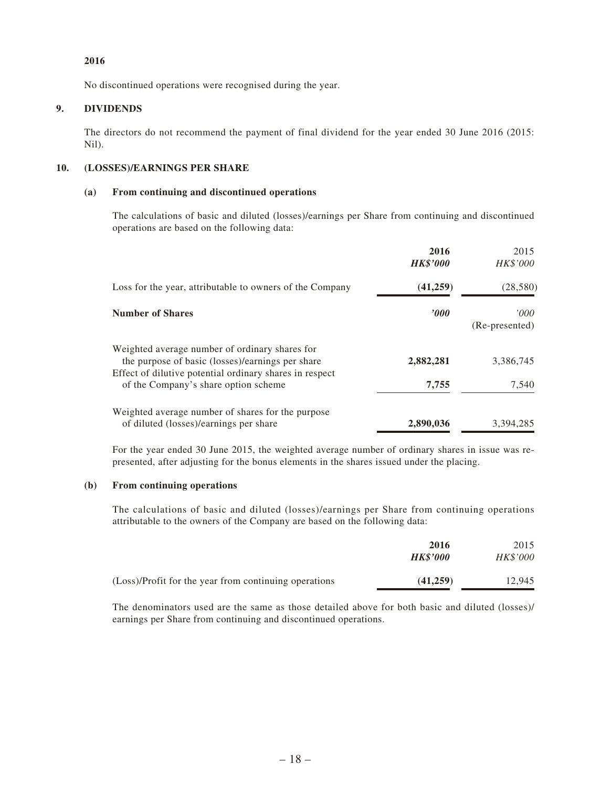## **2016**

No discontinued operations were recognised during the year.

## **9. DIVIDENDS**

The directors do not recommend the payment of final dividend for the year ended 30 June 2016 (2015: Nil).

## **10. (LOSSES)/EARNINGS PER SHARE**

#### **(a) From continuing and discontinued operations**

The calculations of basic and diluted (losses)/earnings per Share from continuing and discontinued operations are based on the following data:

|                                                                                                                                                               | 2016<br><b>HK\$'000</b> | 2015<br><i>HK\$'000</i> |
|---------------------------------------------------------------------------------------------------------------------------------------------------------------|-------------------------|-------------------------|
| Loss for the year, attributable to owners of the Company                                                                                                      | (41,259)                | (28, 580)               |
| <b>Number of Shares</b>                                                                                                                                       | $\bm{v}$                | '000<br>(Re-presented)  |
| Weighted average number of ordinary shares for<br>the purpose of basic (losses)/earnings per share<br>Effect of dilutive potential ordinary shares in respect | 2,882,281               | 3,386,745               |
| of the Company's share option scheme                                                                                                                          | 7,755                   | 7,540                   |
| Weighted average number of shares for the purpose<br>of diluted (losses)/earnings per share                                                                   | 2,890,036               | 3,394,285               |

For the year ended 30 June 2015, the weighted average number of ordinary shares in issue was represented, after adjusting for the bonus elements in the shares issued under the placing.

## **(b) From continuing operations**

The calculations of basic and diluted (losses)/earnings per Share from continuing operations attributable to the owners of the Company are based on the following data:

|                                                       | 2016            | 2015            |
|-------------------------------------------------------|-----------------|-----------------|
|                                                       | <b>HK\$'000</b> | <b>HK\$'000</b> |
| (Loss)/Profit for the year from continuing operations | (41.259)        | 12.945          |

The denominators used are the same as those detailed above for both basic and diluted (losses)/ earnings per Share from continuing and discontinued operations.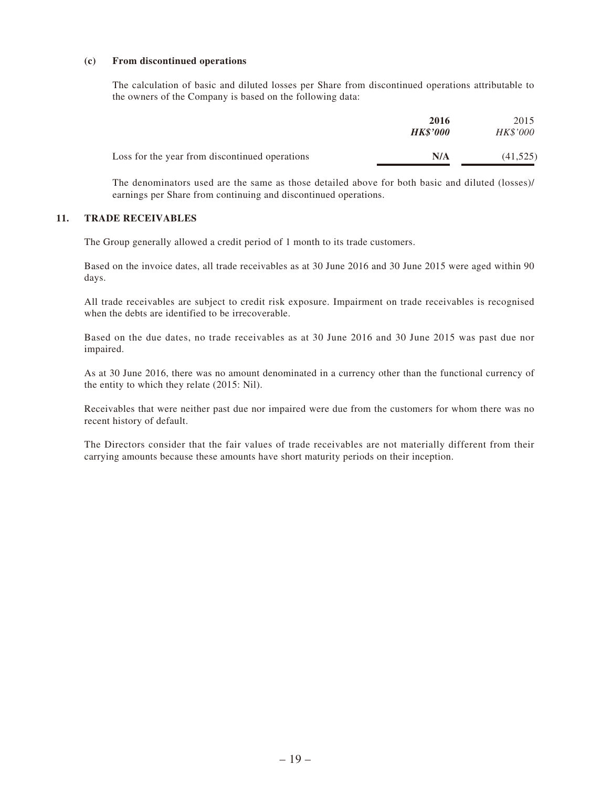#### **(c) From discontinued operations**

The calculation of basic and diluted losses per Share from discontinued operations attributable to the owners of the Company is based on the following data:

|                                                | 2016<br><b>HK\$'000</b> | 2015<br><i>HK\$'000</i> |
|------------------------------------------------|-------------------------|-------------------------|
| Loss for the year from discontinued operations | N/A                     | (41, 525)               |

The denominators used are the same as those detailed above for both basic and diluted (losses)/ earnings per Share from continuing and discontinued operations.

#### **11. TRADE RECEIVABLES**

The Group generally allowed a credit period of 1 month to its trade customers.

Based on the invoice dates, all trade receivables as at 30 June 2016 and 30 June 2015 were aged within 90 days.

All trade receivables are subject to credit risk exposure. Impairment on trade receivables is recognised when the debts are identified to be irrecoverable.

Based on the due dates, no trade receivables as at 30 June 2016 and 30 June 2015 was past due nor impaired.

As at 30 June 2016, there was no amount denominated in a currency other than the functional currency of the entity to which they relate (2015: Nil).

Receivables that were neither past due nor impaired were due from the customers for whom there was no recent history of default.

The Directors consider that the fair values of trade receivables are not materially different from their carrying amounts because these amounts have short maturity periods on their inception.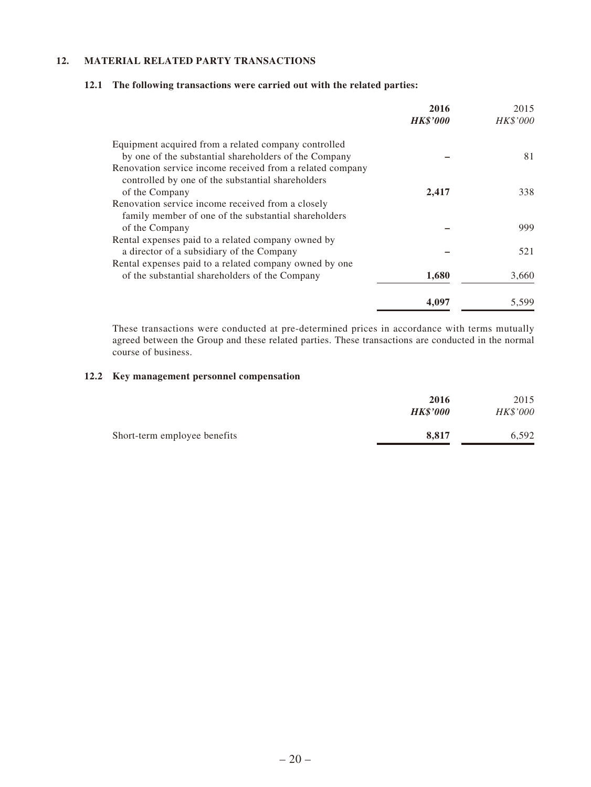## **12. MATERIAL RELATED PARTY TRANSACTIONS**

## **12.1 The following transactions were carried out with the related parties:**

|                                                           | 2016<br><b>HK\$'000</b> | 2015<br><b>HK\$'000</b> |
|-----------------------------------------------------------|-------------------------|-------------------------|
|                                                           |                         |                         |
| Equipment acquired from a related company controlled      |                         |                         |
| by one of the substantial shareholders of the Company     |                         | 81                      |
| Renovation service income received from a related company |                         |                         |
| controlled by one of the substantial shareholders         |                         |                         |
| of the Company                                            | 2,417                   | 338                     |
| Renovation service income received from a closely         |                         |                         |
| family member of one of the substantial shareholders      |                         |                         |
| of the Company                                            |                         | 999                     |
| Rental expenses paid to a related company owned by        |                         |                         |
| a director of a subsidiary of the Company                 |                         | 521                     |
| Rental expenses paid to a related company owned by one.   |                         |                         |
| of the substantial shareholders of the Company            | 1,680                   | 3,660                   |
|                                                           | 4,097                   | 5,599                   |

These transactions were conducted at pre-determined prices in accordance with terms mutually agreed between the Group and these related parties. These transactions are conducted in the normal course of business.

## **12.2 Key management personnel compensation**

|                              | 2016<br><b>HK\$'000</b> | 2015<br>HK\$'000 |
|------------------------------|-------------------------|------------------|
| Short-term employee benefits | 8,817                   | 6.592            |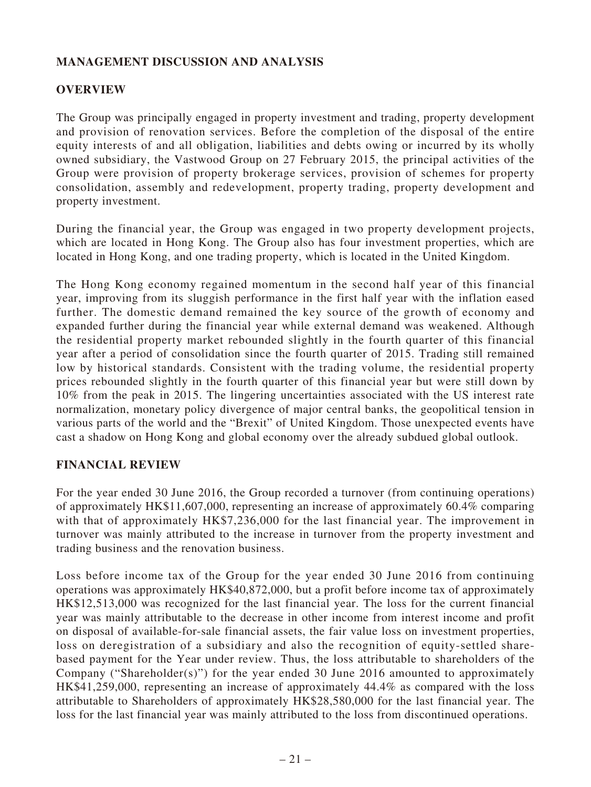# **MANAGEMENT DISCUSSION AND ANALYSIS**

# **OVERVIEW**

The Group was principally engaged in property investment and trading, property development and provision of renovation services. Before the completion of the disposal of the entire equity interests of and all obligation, liabilities and debts owing or incurred by its wholly owned subsidiary, the Vastwood Group on 27 February 2015, the principal activities of the Group were provision of property brokerage services, provision of schemes for property consolidation, assembly and redevelopment, property trading, property development and property investment.

During the financial year, the Group was engaged in two property development projects, which are located in Hong Kong. The Group also has four investment properties, which are located in Hong Kong, and one trading property, which is located in the United Kingdom.

The Hong Kong economy regained momentum in the second half year of this financial year, improving from its sluggish performance in the first half year with the inflation eased further. The domestic demand remained the key source of the growth of economy and expanded further during the financial year while external demand was weakened. Although the residential property market rebounded slightly in the fourth quarter of this financial year after a period of consolidation since the fourth quarter of 2015. Trading still remained low by historical standards. Consistent with the trading volume, the residential property prices rebounded slightly in the fourth quarter of this financial year but were still down by 10% from the peak in 2015. The lingering uncertainties associated with the US interest rate normalization, monetary policy divergence of major central banks, the geopolitical tension in various parts of the world and the "Brexit" of United Kingdom. Those unexpected events have cast a shadow on Hong Kong and global economy over the already subdued global outlook.

# **FINANCIAL REVIEW**

For the year ended 30 June 2016, the Group recorded a turnover (from continuing operations) of approximately HK\$11,607,000, representing an increase of approximately 60.4% comparing with that of approximately HK\$7,236,000 for the last financial year. The improvement in turnover was mainly attributed to the increase in turnover from the property investment and trading business and the renovation business.

Loss before income tax of the Group for the year ended 30 June 2016 from continuing operations was approximately HK\$40,872,000, but a profit before income tax of approximately HK\$12,513,000 was recognized for the last financial year. The loss for the current financial year was mainly attributable to the decrease in other income from interest income and profit on disposal of available-for-sale financial assets, the fair value loss on investment properties, loss on deregistration of a subsidiary and also the recognition of equity-settled sharebased payment for the Year under review. Thus, the loss attributable to shareholders of the Company ("Shareholder(s)") for the year ended 30 June 2016 amounted to approximately HK\$41,259,000, representing an increase of approximately 44.4% as compared with the loss attributable to Shareholders of approximately HK\$28,580,000 for the last financial year. The loss for the last financial year was mainly attributed to the loss from discontinued operations.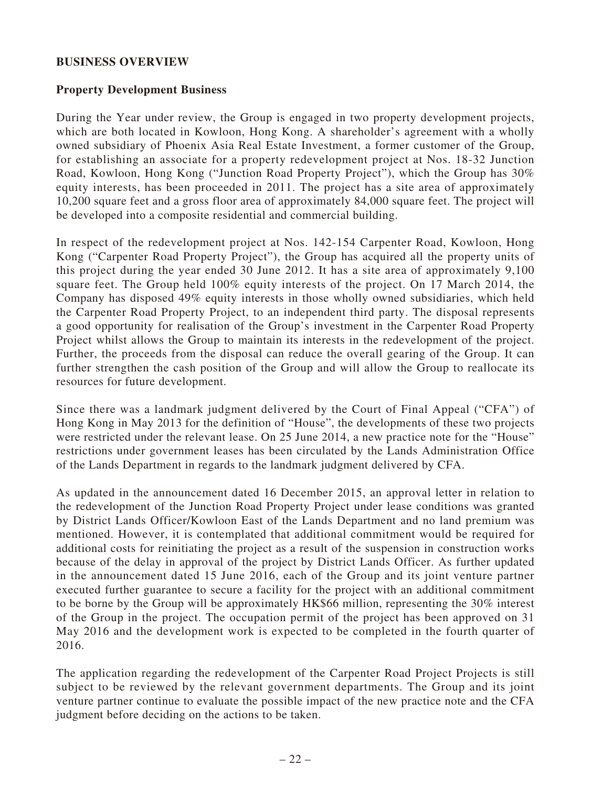# **BUSINESS OVERVIEW**

# **Property Development Business**

During the Year under review, the Group is engaged in two property development projects, which are both located in Kowloon, Hong Kong. A shareholder's agreement with a wholly owned subsidiary of Phoenix Asia Real Estate Investment, a former customer of the Group, for establishing an associate for a property redevelopment project at Nos. 18-32 Junction Road, Kowloon, Hong Kong ("Junction Road Property Project"), which the Group has 30% equity interests, has been proceeded in 2011. The project has a site area of approximately 10,200 square feet and a gross floor area of approximately 84,000 square feet. The project will be developed into a composite residential and commercial building.

In respect of the redevelopment project at Nos. 142-154 Carpenter Road, Kowloon, Hong Kong ("Carpenter Road Property Project"), the Group has acquired all the property units of this project during the year ended 30 June 2012. It has a site area of approximately 9,100 square feet. The Group held 100% equity interests of the project. On 17 March 2014, the Company has disposed 49% equity interests in those wholly owned subsidiaries, which held the Carpenter Road Property Project, to an independent third party. The disposal represents a good opportunity for realisation of the Group's investment in the Carpenter Road Property Project whilst allows the Group to maintain its interests in the redevelopment of the project. Further, the proceeds from the disposal can reduce the overall gearing of the Group. It can further strengthen the cash position of the Group and will allow the Group to reallocate its resources for future development.

Since there was a landmark judgment delivered by the Court of Final Appeal ("CFA") of Hong Kong in May 2013 for the definition of "House", the developments of these two projects were restricted under the relevant lease. On 25 June 2014, a new practice note for the "House" restrictions under government leases has been circulated by the Lands Administration Office of the Lands Department in regards to the landmark judgment delivered by CFA.

As updated in the announcement dated 16 December 2015, an approval letter in relation to the redevelopment of the Junction Road Property Project under lease conditions was granted by District Lands Officer/Kowloon East of the Lands Department and no land premium was mentioned. However, it is contemplated that additional commitment would be required for additional costs for reinitiating the project as a result of the suspension in construction works because of the delay in approval of the project by District Lands Officer. As further updated in the announcement dated 15 June 2016, each of the Group and its joint venture partner executed further guarantee to secure a facility for the project with an additional commitment to be borne by the Group will be approximately HK\$66 million, representing the 30% interest of the Group in the project. The occupation permit of the project has been approved on 31 May 2016 and the development work is expected to be completed in the fourth quarter of 2016.

The application regarding the redevelopment of the Carpenter Road Project Projects is still subject to be reviewed by the relevant government departments. The Group and its joint venture partner continue to evaluate the possible impact of the new practice note and the CFA judgment before deciding on the actions to be taken.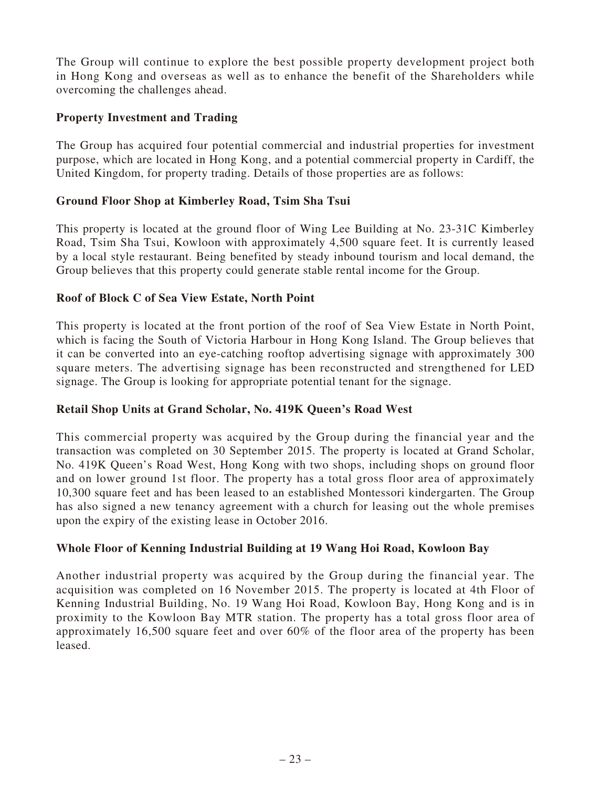The Group will continue to explore the best possible property development project both in Hong Kong and overseas as well as to enhance the benefit of the Shareholders while overcoming the challenges ahead.

# **Property Investment and Trading**

The Group has acquired four potential commercial and industrial properties for investment purpose, which are located in Hong Kong, and a potential commercial property in Cardiff, the United Kingdom, for property trading. Details of those properties are as follows:

# **Ground Floor Shop at Kimberley Road, Tsim Sha Tsui**

This property is located at the ground floor of Wing Lee Building at No. 23-31C Kimberley Road, Tsim Sha Tsui, Kowloon with approximately 4,500 square feet. It is currently leased by a local style restaurant. Being benefited by steady inbound tourism and local demand, the Group believes that this property could generate stable rental income for the Group.

# **Roof of Block C of Sea View Estate, North Point**

This property is located at the front portion of the roof of Sea View Estate in North Point, which is facing the South of Victoria Harbour in Hong Kong Island. The Group believes that it can be converted into an eye-catching rooftop advertising signage with approximately 300 square meters. The advertising signage has been reconstructed and strengthened for LED signage. The Group is looking for appropriate potential tenant for the signage.

# **Retail Shop Units at Grand Scholar, No. 419K Queen's Road West**

This commercial property was acquired by the Group during the financial year and the transaction was completed on 30 September 2015. The property is located at Grand Scholar, No. 419K Queen's Road West, Hong Kong with two shops, including shops on ground floor and on lower ground 1st floor. The property has a total gross floor area of approximately 10,300 square feet and has been leased to an established Montessori kindergarten. The Group has also signed a new tenancy agreement with a church for leasing out the whole premises upon the expiry of the existing lease in October 2016.

# **Whole Floor of Kenning Industrial Building at 19 Wang Hoi Road, Kowloon Bay**

Another industrial property was acquired by the Group during the financial year. The acquisition was completed on 16 November 2015. The property is located at 4th Floor of Kenning Industrial Building, No. 19 Wang Hoi Road, Kowloon Bay, Hong Kong and is in proximity to the Kowloon Bay MTR station. The property has a total gross floor area of approximately 16,500 square feet and over 60% of the floor area of the property has been leased.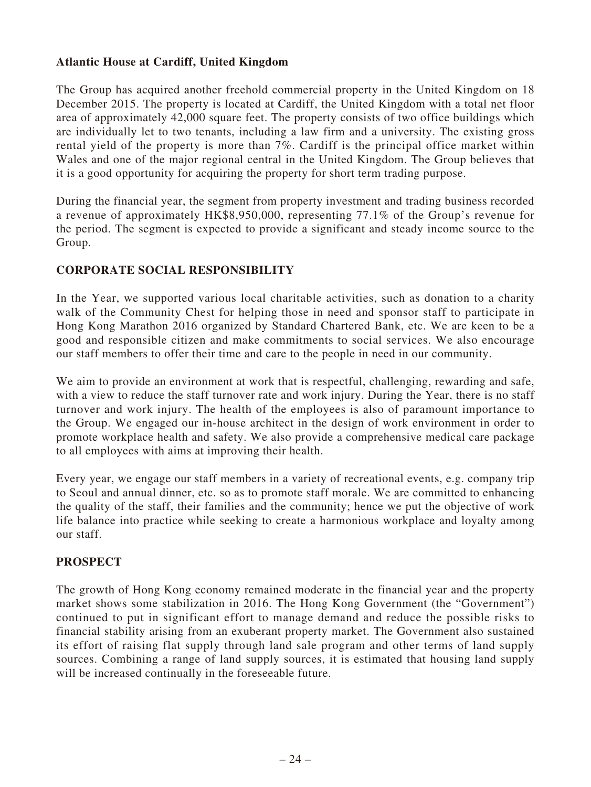# **Atlantic House at Cardiff, United Kingdom**

The Group has acquired another freehold commercial property in the United Kingdom on 18 December 2015. The property is located at Cardiff, the United Kingdom with a total net floor area of approximately 42,000 square feet. The property consists of two office buildings which are individually let to two tenants, including a law firm and a university. The existing gross rental yield of the property is more than 7%. Cardiff is the principal office market within Wales and one of the major regional central in the United Kingdom. The Group believes that it is a good opportunity for acquiring the property for short term trading purpose.

During the financial year, the segment from property investment and trading business recorded a revenue of approximately HK\$8,950,000, representing 77.1% of the Group's revenue for the period. The segment is expected to provide a significant and steady income source to the Group.

# **CORPORATE SOCIAL RESPONSIBILITY**

In the Year, we supported various local charitable activities, such as donation to a charity walk of the Community Chest for helping those in need and sponsor staff to participate in Hong Kong Marathon 2016 organized by Standard Chartered Bank, etc. We are keen to be a good and responsible citizen and make commitments to social services. We also encourage our staff members to offer their time and care to the people in need in our community.

We aim to provide an environment at work that is respectful, challenging, rewarding and safe, with a view to reduce the staff turnover rate and work injury. During the Year, there is no staff turnover and work injury. The health of the employees is also of paramount importance to the Group. We engaged our in-house architect in the design of work environment in order to promote workplace health and safety. We also provide a comprehensive medical care package to all employees with aims at improving their health.

Every year, we engage our staff members in a variety of recreational events, e.g. company trip to Seoul and annual dinner, etc. so as to promote staff morale. We are committed to enhancing the quality of the staff, their families and the community; hence we put the objective of work life balance into practice while seeking to create a harmonious workplace and loyalty among our staff.

# **PROSPECT**

The growth of Hong Kong economy remained moderate in the financial year and the property market shows some stabilization in 2016. The Hong Kong Government (the "Government") continued to put in significant effort to manage demand and reduce the possible risks to financial stability arising from an exuberant property market. The Government also sustained its effort of raising flat supply through land sale program and other terms of land supply sources. Combining a range of land supply sources, it is estimated that housing land supply will be increased continually in the foreseeable future.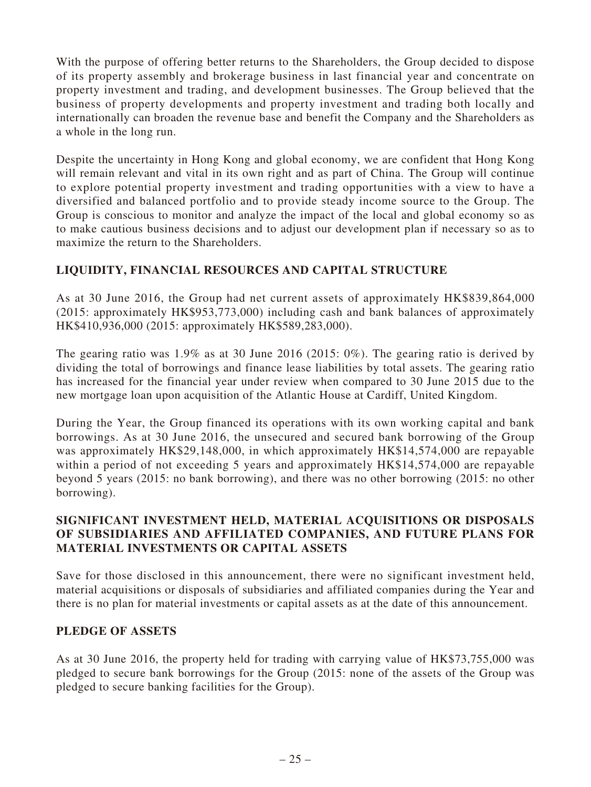With the purpose of offering better returns to the Shareholders, the Group decided to dispose of its property assembly and brokerage business in last financial year and concentrate on property investment and trading, and development businesses. The Group believed that the business of property developments and property investment and trading both locally and internationally can broaden the revenue base and benefit the Company and the Shareholders as a whole in the long run.

Despite the uncertainty in Hong Kong and global economy, we are confident that Hong Kong will remain relevant and vital in its own right and as part of China. The Group will continue to explore potential property investment and trading opportunities with a view to have a diversified and balanced portfolio and to provide steady income source to the Group. The Group is conscious to monitor and analyze the impact of the local and global economy so as to make cautious business decisions and to adjust our development plan if necessary so as to maximize the return to the Shareholders.

# **LIQUIDITY, FINANCIAL RESOURCES AND CAPITAL STRUCTURE**

As at 30 June 2016, the Group had net current assets of approximately HK\$839,864,000 (2015: approximately HK\$953,773,000) including cash and bank balances of approximately HK\$410,936,000 (2015: approximately HK\$589,283,000).

The gearing ratio was 1.9% as at 30 June 2016 (2015: 0%). The gearing ratio is derived by dividing the total of borrowings and finance lease liabilities by total assets. The gearing ratio has increased for the financial year under review when compared to 30 June 2015 due to the new mortgage loan upon acquisition of the Atlantic House at Cardiff, United Kingdom.

During the Year, the Group financed its operations with its own working capital and bank borrowings. As at 30 June 2016, the unsecured and secured bank borrowing of the Group was approximately HK\$29,148,000, in which approximately HK\$14,574,000 are repayable within a period of not exceeding 5 years and approximately HK\$14,574,000 are repayable beyond 5 years (2015: no bank borrowing), and there was no other borrowing (2015: no other borrowing).

# **SIGNIFICANT INVESTMENT HELD, MATERIAL ACQUISITIONS OR DISPOSALS OF SUBSIDIARIES AND AFFILIATED COMPANIES, AND FUTURE PLANS FOR MATERIAL INVESTMENTS OR CAPITAL ASSETS**

Save for those disclosed in this announcement, there were no significant investment held, material acquisitions or disposals of subsidiaries and affiliated companies during the Year and there is no plan for material investments or capital assets as at the date of this announcement.

# **PLEDGE OF ASSETS**

As at 30 June 2016, the property held for trading with carrying value of HK\$73,755,000 was pledged to secure bank borrowings for the Group (2015: none of the assets of the Group was pledged to secure banking facilities for the Group).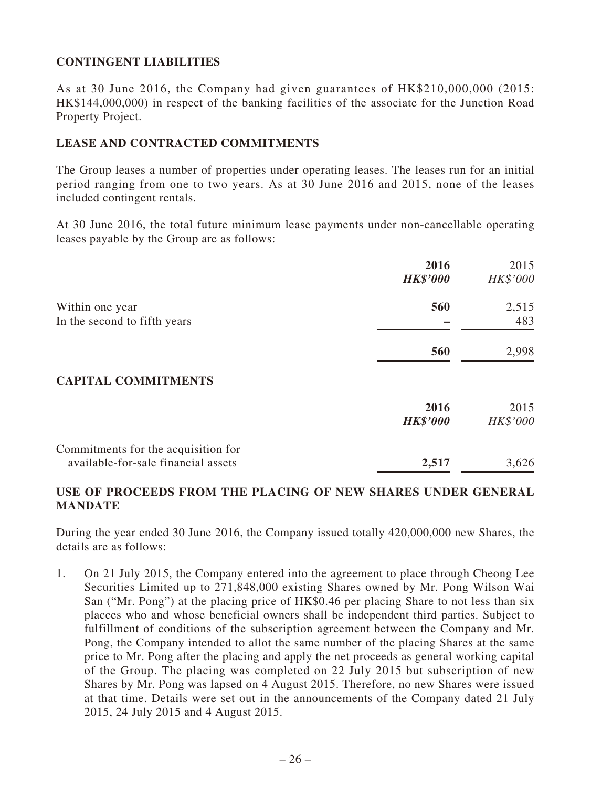# **CONTINGENT LIABILITIES**

As at 30 June 2016, the Company had given guarantees of HK\$210,000,000 (2015: HK\$144,000,000) in respect of the banking facilities of the associate for the Junction Road Property Project.

# **LEASE AND CONTRACTED COMMITMENTS**

The Group leases a number of properties under operating leases. The leases run for an initial period ranging from one to two years. As at 30 June 2016 and 2015, none of the leases included contingent rentals.

At 30 June 2016, the total future minimum lease payments under non-cancellable operating leases payable by the Group are as follows:

|                                                                            | 2016<br><b>HK\$'000</b> | 2015<br>HK\$'000 |
|----------------------------------------------------------------------------|-------------------------|------------------|
| Within one year<br>In the second to fifth years                            | 560                     | 2,515<br>483     |
|                                                                            | 560                     | 2,998            |
| <b>CAPITAL COMMITMENTS</b>                                                 |                         |                  |
|                                                                            | 2016<br><b>HK\$'000</b> | 2015<br>HK\$'000 |
| Commitments for the acquisition for<br>available-for-sale financial assets | 2,517                   | 3,626            |

# **USE OF PROCEEDS FROM THE PLACING OF NEW SHARES UNDER GENERAL MANDATE**

During the year ended 30 June 2016, the Company issued totally 420,000,000 new Shares, the details are as follows:

1. On 21 July 2015, the Company entered into the agreement to place through Cheong Lee Securities Limited up to 271,848,000 existing Shares owned by Mr. Pong Wilson Wai San ("Mr. Pong") at the placing price of HK\$0.46 per placing Share to not less than six placees who and whose beneficial owners shall be independent third parties. Subject to fulfillment of conditions of the subscription agreement between the Company and Mr. Pong, the Company intended to allot the same number of the placing Shares at the same price to Mr. Pong after the placing and apply the net proceeds as general working capital of the Group. The placing was completed on 22 July 2015 but subscription of new Shares by Mr. Pong was lapsed on 4 August 2015. Therefore, no new Shares were issued at that time. Details were set out in the announcements of the Company dated 21 July 2015, 24 July 2015 and 4 August 2015.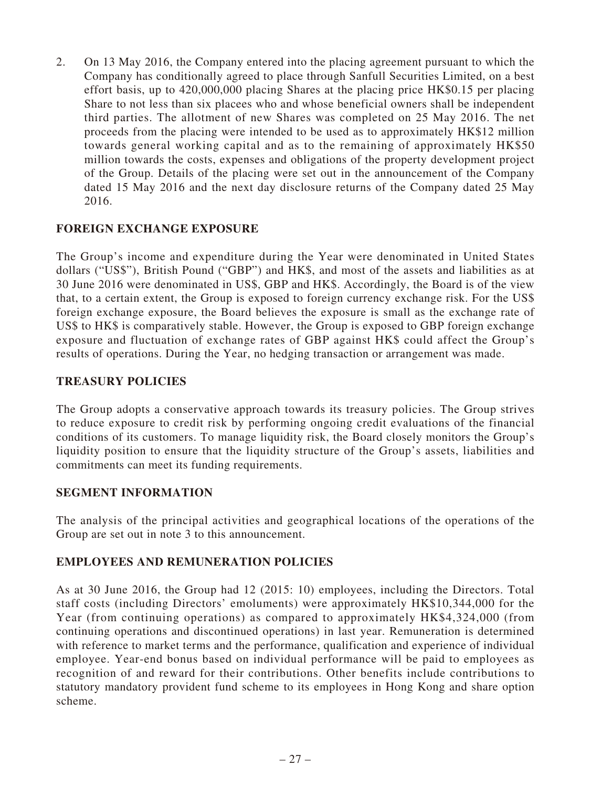2. On 13 May 2016, the Company entered into the placing agreement pursuant to which the Company has conditionally agreed to place through Sanfull Securities Limited, on a best effort basis, up to 420,000,000 placing Shares at the placing price HK\$0.15 per placing Share to not less than six placees who and whose beneficial owners shall be independent third parties. The allotment of new Shares was completed on 25 May 2016. The net proceeds from the placing were intended to be used as to approximately HK\$12 million towards general working capital and as to the remaining of approximately HK\$50 million towards the costs, expenses and obligations of the property development project of the Group. Details of the placing were set out in the announcement of the Company dated 15 May 2016 and the next day disclosure returns of the Company dated 25 May 2016.

# **FOREIGN EXCHANGE EXPOSURE**

The Group's income and expenditure during the Year were denominated in United States dollars ("US\$"), British Pound ("GBP") and HK\$, and most of the assets and liabilities as at 30 June 2016 were denominated in US\$, GBP and HK\$. Accordingly, the Board is of the view that, to a certain extent, the Group is exposed to foreign currency exchange risk. For the US\$ foreign exchange exposure, the Board believes the exposure is small as the exchange rate of US\$ to HK\$ is comparatively stable. However, the Group is exposed to GBP foreign exchange exposure and fluctuation of exchange rates of GBP against HK\$ could affect the Group's results of operations. During the Year, no hedging transaction or arrangement was made.

# **TREASURY POLICIES**

The Group adopts a conservative approach towards its treasury policies. The Group strives to reduce exposure to credit risk by performing ongoing credit evaluations of the financial conditions of its customers. To manage liquidity risk, the Board closely monitors the Group's liquidity position to ensure that the liquidity structure of the Group's assets, liabilities and commitments can meet its funding requirements.

# **SEGMENT INFORMATION**

The analysis of the principal activities and geographical locations of the operations of the Group are set out in note 3 to this announcement.

# **EMPLOYEES AND REMUNERATION POLICIES**

As at 30 June 2016, the Group had 12 (2015: 10) employees, including the Directors. Total staff costs (including Directors' emoluments) were approximately HK\$10,344,000 for the Year (from continuing operations) as compared to approximately HK\$4,324,000 (from continuing operations and discontinued operations) in last year. Remuneration is determined with reference to market terms and the performance, qualification and experience of individual employee. Year-end bonus based on individual performance will be paid to employees as recognition of and reward for their contributions. Other benefits include contributions to statutory mandatory provident fund scheme to its employees in Hong Kong and share option scheme.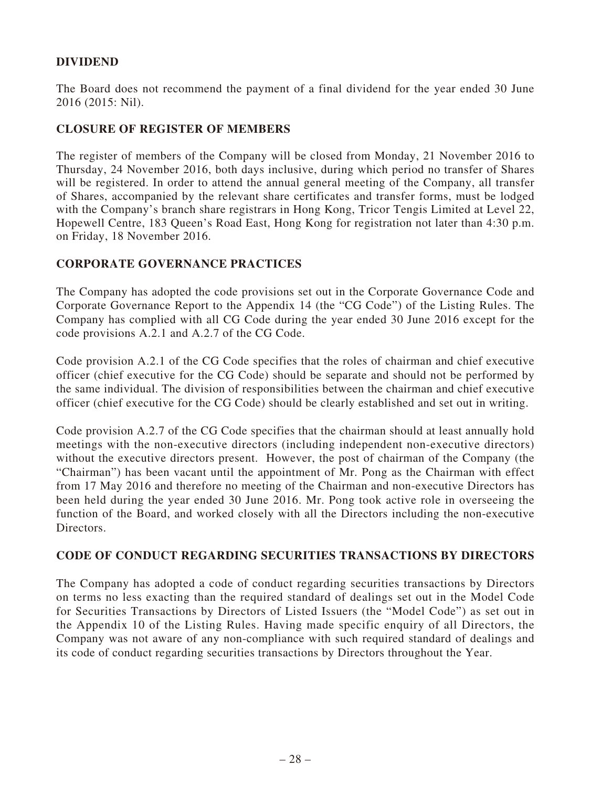# **DIVIDEND**

The Board does not recommend the payment of a final dividend for the year ended 30 June 2016 (2015: Nil).

# **CLOSURE OF REGISTER OF MEMBERS**

The register of members of the Company will be closed from Monday, 21 November 2016 to Thursday, 24 November 2016, both days inclusive, during which period no transfer of Shares will be registered. In order to attend the annual general meeting of the Company, all transfer of Shares, accompanied by the relevant share certificates and transfer forms, must be lodged with the Company's branch share registrars in Hong Kong, Tricor Tengis Limited at Level 22, Hopewell Centre, 183 Queen's Road East, Hong Kong for registration not later than 4:30 p.m. on Friday, 18 November 2016.

# **CORPORATE GOVERNANCE PRACTICES**

The Company has adopted the code provisions set out in the Corporate Governance Code and Corporate Governance Report to the Appendix 14 (the "CG Code") of the Listing Rules. The Company has complied with all CG Code during the year ended 30 June 2016 except for the code provisions A.2.1 and A.2.7 of the CG Code.

Code provision A.2.1 of the CG Code specifies that the roles of chairman and chief executive officer (chief executive for the CG Code) should be separate and should not be performed by the same individual. The division of responsibilities between the chairman and chief executive officer (chief executive for the CG Code) should be clearly established and set out in writing.

Code provision A.2.7 of the CG Code specifies that the chairman should at least annually hold meetings with the non-executive directors (including independent non-executive directors) without the executive directors present. However, the post of chairman of the Company (the "Chairman") has been vacant until the appointment of Mr. Pong as the Chairman with effect from 17 May 2016 and therefore no meeting of the Chairman and non-executive Directors has been held during the year ended 30 June 2016. Mr. Pong took active role in overseeing the function of the Board, and worked closely with all the Directors including the non-executive Directors.

## **CODE OF CONDUCT REGARDING SECURITIES TRANSACTIONS BY DIRECTORS**

The Company has adopted a code of conduct regarding securities transactions by Directors on terms no less exacting than the required standard of dealings set out in the Model Code for Securities Transactions by Directors of Listed Issuers (the "Model Code") as set out in the Appendix 10 of the Listing Rules. Having made specific enquiry of all Directors, the Company was not aware of any non-compliance with such required standard of dealings and its code of conduct regarding securities transactions by Directors throughout the Year.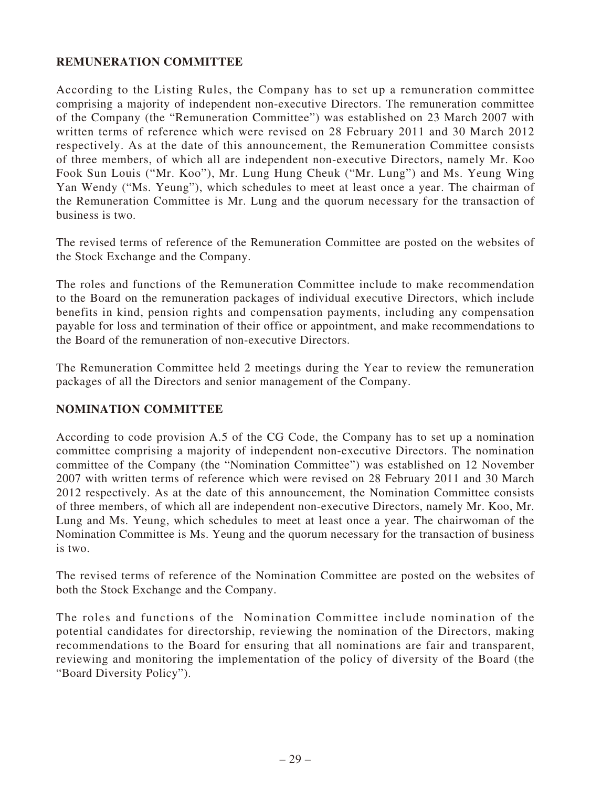# **REMUNERATION COMMITTEE**

According to the Listing Rules, the Company has to set up a remuneration committee comprising a majority of independent non-executive Directors. The remuneration committee of the Company (the "Remuneration Committee") was established on 23 March 2007 with written terms of reference which were revised on 28 February 2011 and 30 March 2012 respectively. As at the date of this announcement, the Remuneration Committee consists of three members, of which all are independent non-executive Directors, namely Mr. Koo Fook Sun Louis ("Mr. Koo"), Mr. Lung Hung Cheuk ("Mr. Lung") and Ms. Yeung Wing Yan Wendy ("Ms. Yeung"), which schedules to meet at least once a year. The chairman of the Remuneration Committee is Mr. Lung and the quorum necessary for the transaction of business is two.

The revised terms of reference of the Remuneration Committee are posted on the websites of the Stock Exchange and the Company.

The roles and functions of the Remuneration Committee include to make recommendation to the Board on the remuneration packages of individual executive Directors, which include benefits in kind, pension rights and compensation payments, including any compensation payable for loss and termination of their office or appointment, and make recommendations to the Board of the remuneration of non-executive Directors.

The Remuneration Committee held 2 meetings during the Year to review the remuneration packages of all the Directors and senior management of the Company.

# **NOMINATION COMMITTEE**

According to code provision A.5 of the CG Code, the Company has to set up a nomination committee comprising a majority of independent non-executive Directors. The nomination committee of the Company (the "Nomination Committee") was established on 12 November 2007 with written terms of reference which were revised on 28 February 2011 and 30 March 2012 respectively. As at the date of this announcement, the Nomination Committee consists of three members, of which all are independent non-executive Directors, namely Mr. Koo, Mr. Lung and Ms. Yeung, which schedules to meet at least once a year. The chairwoman of the Nomination Committee is Ms. Yeung and the quorum necessary for the transaction of business is two.

The revised terms of reference of the Nomination Committee are posted on the websites of both the Stock Exchange and the Company.

The roles and functions of the Nomination Committee include nomination of the potential candidates for directorship, reviewing the nomination of the Directors, making recommendations to the Board for ensuring that all nominations are fair and transparent, reviewing and monitoring the implementation of the policy of diversity of the Board (the "Board Diversity Policy").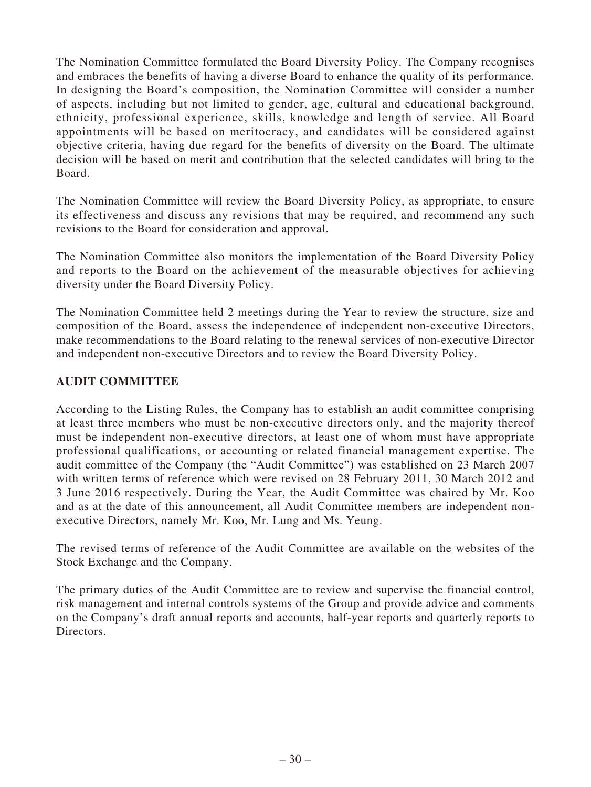The Nomination Committee formulated the Board Diversity Policy. The Company recognises and embraces the benefits of having a diverse Board to enhance the quality of its performance. In designing the Board's composition, the Nomination Committee will consider a number of aspects, including but not limited to gender, age, cultural and educational background, ethnicity, professional experience, skills, knowledge and length of service. All Board appointments will be based on meritocracy, and candidates will be considered against objective criteria, having due regard for the benefits of diversity on the Board. The ultimate decision will be based on merit and contribution that the selected candidates will bring to the Board.

The Nomination Committee will review the Board Diversity Policy, as appropriate, to ensure its effectiveness and discuss any revisions that may be required, and recommend any such revisions to the Board for consideration and approval.

The Nomination Committee also monitors the implementation of the Board Diversity Policy and reports to the Board on the achievement of the measurable objectives for achieving diversity under the Board Diversity Policy.

The Nomination Committee held 2 meetings during the Year to review the structure, size and composition of the Board, assess the independence of independent non-executive Directors, make recommendations to the Board relating to the renewal services of non-executive Director and independent non-executive Directors and to review the Board Diversity Policy.

# **AUDIT COMMITTEE**

According to the Listing Rules, the Company has to establish an audit committee comprising at least three members who must be non-executive directors only, and the majority thereof must be independent non-executive directors, at least one of whom must have appropriate professional qualifications, or accounting or related financial management expertise. The audit committee of the Company (the "Audit Committee") was established on 23 March 2007 with written terms of reference which were revised on 28 February 2011, 30 March 2012 and 3 June 2016 respectively. During the Year, the Audit Committee was chaired by Mr. Koo and as at the date of this announcement, all Audit Committee members are independent nonexecutive Directors, namely Mr. Koo, Mr. Lung and Ms. Yeung.

The revised terms of reference of the Audit Committee are available on the websites of the Stock Exchange and the Company.

The primary duties of the Audit Committee are to review and supervise the financial control, risk management and internal controls systems of the Group and provide advice and comments on the Company's draft annual reports and accounts, half-year reports and quarterly reports to Directors.